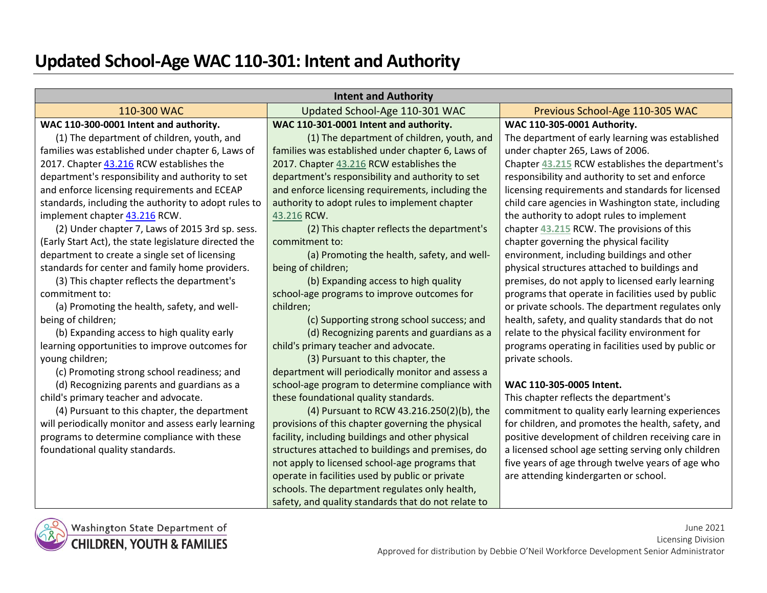## **Updated School-Age WAC 110-301: Intent and Authority**

| <b>Intent and Authority</b>                                                      |                                                     |                                                     |  |
|----------------------------------------------------------------------------------|-----------------------------------------------------|-----------------------------------------------------|--|
| 110-300 WAC<br>Updated School-Age 110-301 WAC<br>Previous School-Age 110-305 WAC |                                                     |                                                     |  |
| WAC 110-300-0001 Intent and authority.                                           | WAC 110-301-0001 Intent and authority.              | WAC 110-305-0001 Authority.                         |  |
| (1) The department of children, youth, and                                       | (1) The department of children, youth, and          | The department of early learning was established    |  |
| families was established under chapter 6, Laws of                                | families was established under chapter 6, Laws of   | under chapter 265, Laws of 2006.                    |  |
| 2017. Chapter 43.216 RCW establishes the                                         | 2017. Chapter 43.216 RCW establishes the            | Chapter 43.215 RCW establishes the department's     |  |
| department's responsibility and authority to set                                 | department's responsibility and authority to set    | responsibility and authority to set and enforce     |  |
| and enforce licensing requirements and ECEAP                                     | and enforce licensing requirements, including the   | licensing requirements and standards for licensed   |  |
| standards, including the authority to adopt rules to                             | authority to adopt rules to implement chapter       | child care agencies in Washington state, including  |  |
| implement chapter 43.216 RCW.                                                    | 43.216 RCW.                                         | the authority to adopt rules to implement           |  |
| (2) Under chapter 7, Laws of 2015 3rd sp. sess.                                  | (2) This chapter reflects the department's          | chapter 43.215 RCW. The provisions of this          |  |
| (Early Start Act), the state legislature directed the                            | commitment to:                                      | chapter governing the physical facility             |  |
| department to create a single set of licensing                                   | (a) Promoting the health, safety, and well-         | environment, including buildings and other          |  |
| standards for center and family home providers.                                  | being of children;                                  | physical structures attached to buildings and       |  |
| (3) This chapter reflects the department's                                       | (b) Expanding access to high quality                | premises, do not apply to licensed early learning   |  |
| commitment to:                                                                   | school-age programs to improve outcomes for         | programs that operate in facilities used by public  |  |
| (a) Promoting the health, safety, and well-                                      | children;                                           | or private schools. The department regulates only   |  |
| being of children;                                                               | (c) Supporting strong school success; and           | health, safety, and quality standards that do not   |  |
| (b) Expanding access to high quality early                                       | (d) Recognizing parents and guardians as a          | relate to the physical facility environment for     |  |
| learning opportunities to improve outcomes for                                   | child's primary teacher and advocate.               | programs operating in facilities used by public or  |  |
| young children;                                                                  | (3) Pursuant to this chapter, the                   | private schools.                                    |  |
| (c) Promoting strong school readiness; and                                       | department will periodically monitor and assess a   |                                                     |  |
| (d) Recognizing parents and guardians as a                                       | school-age program to determine compliance with     | WAC 110-305-0005 Intent.                            |  |
| child's primary teacher and advocate.                                            | these foundational quality standards.               | This chapter reflects the department's              |  |
| (4) Pursuant to this chapter, the department                                     | (4) Pursuant to RCW 43.216.250(2)(b), the           | commitment to quality early learning experiences    |  |
| will periodically monitor and assess early learning                              | provisions of this chapter governing the physical   | for children, and promotes the health, safety, and  |  |
| programs to determine compliance with these                                      | facility, including buildings and other physical    | positive development of children receiving care in  |  |
| foundational quality standards.                                                  | structures attached to buildings and premises, do   | a licensed school age setting serving only children |  |
|                                                                                  | not apply to licensed school-age programs that      | five years of age through twelve years of age who   |  |
|                                                                                  | operate in facilities used by public or private     | are attending kindergarten or school.               |  |
|                                                                                  | schools. The department regulates only health,      |                                                     |  |
|                                                                                  | safety, and quality standards that do not relate to |                                                     |  |

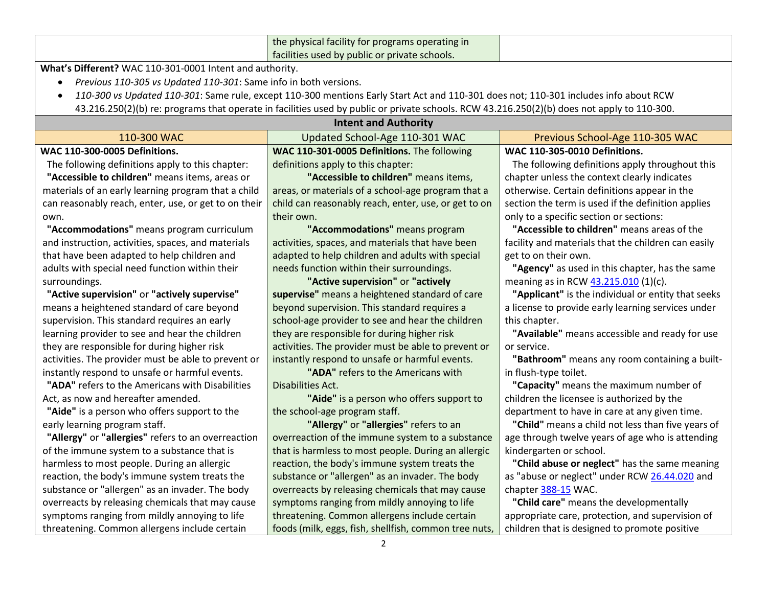|                                                                                            | the physical facility for programs operating in                                                                                             |                                                     |
|--------------------------------------------------------------------------------------------|---------------------------------------------------------------------------------------------------------------------------------------------|-----------------------------------------------------|
| facilities used by public or private schools.                                              |                                                                                                                                             |                                                     |
| What's Different? WAC 110-301-0001 Intent and authority.                                   |                                                                                                                                             |                                                     |
| Previous 110-305 vs Updated 110-301: Same info in both versions.<br>$\bullet$              |                                                                                                                                             |                                                     |
|                                                                                            | 110-300 vs Updated 110-301: Same rule, except 110-300 mentions Early Start Act and 110-301 does not; 110-301 includes info about RCW        |                                                     |
|                                                                                            | 43.216.250(2)(b) re: programs that operate in facilities used by public or private schools. RCW 43.216.250(2)(b) does not apply to 110-300. |                                                     |
|                                                                                            | <b>Intent and Authority</b>                                                                                                                 |                                                     |
| 110-300 WAC                                                                                | Updated School-Age 110-301 WAC                                                                                                              | Previous School-Age 110-305 WAC                     |
| <b>WAC 110-300-0005 Definitions.</b>                                                       | WAC 110-301-0005 Definitions. The following                                                                                                 | <b>WAC 110-305-0010 Definitions.</b>                |
| The following definitions apply to this chapter:                                           | definitions apply to this chapter:                                                                                                          | The following definitions apply throughout this     |
| "Accessible to children" means items, areas or                                             | "Accessible to children" means items,                                                                                                       | chapter unless the context clearly indicates        |
| materials of an early learning program that a child                                        | areas, or materials of a school-age program that a                                                                                          | otherwise. Certain definitions appear in the        |
| can reasonably reach, enter, use, or get to on their                                       | child can reasonably reach, enter, use, or get to on                                                                                        | section the term is used if the definition applies  |
| own.                                                                                       | their own.                                                                                                                                  | only to a specific section or sections:             |
| "Accommodations" means program curriculum                                                  | "Accommodations" means program                                                                                                              | "Accessible to children" means areas of the         |
| and instruction, activities, spaces, and materials                                         | activities, spaces, and materials that have been                                                                                            | facility and materials that the children can easily |
| that have been adapted to help children and                                                | adapted to help children and adults with special                                                                                            | get to on their own.                                |
| adults with special need function within their                                             | needs function within their surroundings.                                                                                                   | "Agency" as used in this chapter, has the same      |
| "Active supervision" or "actively<br>meaning as in RCW 43.215.010 (1)(c).<br>surroundings. |                                                                                                                                             |                                                     |
| "Active supervision" or "actively supervise"                                               | supervise" means a heightened standard of care                                                                                              | "Applicant" is the individual or entity that seeks  |
| means a heightened standard of care beyond                                                 | beyond supervision. This standard requires a                                                                                                | a license to provide early learning services under  |
| supervision. This standard requires an early                                               | school-age provider to see and hear the children                                                                                            | this chapter.                                       |
| learning provider to see and hear the children                                             | they are responsible for during higher risk                                                                                                 | "Available" means accessible and ready for use      |
| they are responsible for during higher risk                                                | activities. The provider must be able to prevent or                                                                                         | or service.                                         |
| activities. The provider must be able to prevent or                                        | instantly respond to unsafe or harmful events.                                                                                              | "Bathroom" means any room containing a built-       |
| instantly respond to unsafe or harmful events.                                             | "ADA" refers to the Americans with                                                                                                          | in flush-type toilet.                               |
| "ADA" refers to the Americans with Disabilities                                            | Disabilities Act.                                                                                                                           | "Capacity" means the maximum number of              |
| Act, as now and hereafter amended.                                                         | "Aide" is a person who offers support to                                                                                                    | children the licensee is authorized by the          |
| "Aide" is a person who offers support to the                                               | the school-age program staff.                                                                                                               | department to have in care at any given time.       |
| early learning program staff.                                                              | "Allergy" or "allergies" refers to an                                                                                                       | "Child" means a child not less than five years of   |
| "Allergy" or "allergies" refers to an overreaction                                         | overreaction of the immune system to a substance                                                                                            | age through twelve years of age who is attending    |
| of the immune system to a substance that is                                                | that is harmless to most people. During an allergic                                                                                         | kindergarten or school.                             |
| harmless to most people. During an allergic                                                | reaction, the body's immune system treats the                                                                                               | "Child abuse or neglect" has the same meaning       |
| reaction, the body's immune system treats the                                              | substance or "allergen" as an invader. The body                                                                                             | as "abuse or neglect" under RCW 26.44.020 and       |
| substance or "allergen" as an invader. The body                                            | overreacts by releasing chemicals that may cause                                                                                            | chapter 388-15 WAC.                                 |
| overreacts by releasing chemicals that may cause                                           | symptoms ranging from mildly annoying to life                                                                                               | "Child care" means the developmentally              |
| symptoms ranging from mildly annoying to life                                              | threatening. Common allergens include certain                                                                                               | appropriate care, protection, and supervision of    |
| threatening. Common allergens include certain                                              | foods (milk, eggs, fish, shellfish, common tree nuts,                                                                                       | children that is designed to promote positive       |
|                                                                                            |                                                                                                                                             |                                                     |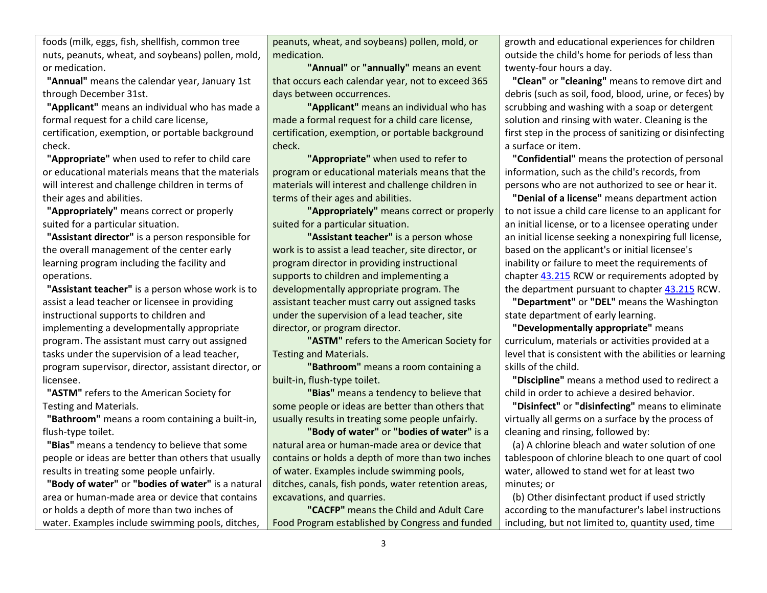foods (milk, eggs, fish, shellfish, common tree nuts, peanuts, wheat, and soybeans) pollen, mold, or medication.

**"Annual"** means the calendar year, January 1st through December 31st.

**"Applicant"** means an individual who has made a formal request for a child care license,

certification, exemption, or portable background check.

**"Appropriate"** when used to refer to child care or educational materials means that the materials will interest and challenge children in terms of their ages and abilities.

**"Appropriately"** means correct or properly suited for a particular situation.

**"Assistant director"** is a person responsible for the overall management of the center early learning program including the facility and operations.

**"Assistant teacher"** is a person whose work is to assist a lead teacher or licensee in providing instructional supports to children and implementing a developmentally appropriate program. The assistant must carry out assigned tasks under the supervision of a lead teacher, program supervisor, director, assistant director, or licensee.

**"ASTM"** refers to the American Society for Testing and Materials.

**"Bathroom"** means a room containing a built-in, flush-type toilet.

**"Bias"** means a tendency to believe that some people or ideas are better than others that usually results in treating some people unfairly.

**"Body of water"** or **"bodies of water"** is a natural area or human-made area or device that contains or holds a depth of more than two inches of water. Examples include swimming pools, ditches,

peanuts, wheat, and soybeans) pollen, mold, or medication.

**"Annual"** or **"annually"** means an event that occurs each calendar year, not to exceed 365 days between occurrences.

**"Applicant"** means an individual who has made a formal request for a child care license, certification, exemption, or portable background check.

**"Appropriate"** when used to refer to program or educational materials means that the materials will interest and challenge children in terms of their ages and abilities.

**"Appropriately"** means correct or properly suited for a particular situation.

**"Assistant teacher"** is a person whose work is to assist a lead teacher, site director, or program director in providing instructional supports to children and implementing a developmentally appropriate program. The assistant teacher must carry out assigned tasks under the supervision of a lead teacher, site director, or program director.

**"ASTM"** refers to the American Society for Testing and Materials.

**"Bathroom"** means a room containing a built-in, flush-type toilet.

**"Bias"** means a tendency to believe that some people or ideas are better than others that usually results in treating some people unfairly.

**"Body of water"** or **"bodies of water"** is a natural area or human-made area or device that contains or holds a depth of more than two inches of water. Examples include swimming pools, ditches, canals, fish ponds, water retention areas, excavations, and quarries.

**"CACFP"** means the Child and Adult Care Food Program established by Congress and funded growth and educational experiences for children outside the child's home for periods of less than twenty-four hours a day.

**"Clean"** or **"cleaning"** means to remove dirt and debris (such as soil, food, blood, urine, or feces) by scrubbing and washing with a soap or detergent solution and rinsing with water. Cleaning is the first step in the process of sanitizing or disinfecting a surface or item.

**"Confidential"** means the protection of personal information, such as the child's records, from persons who are not authorized to see or hear it.

**"Denial of a license"** means department action to not issue a child care license to an applicant for an initial license, or to a licensee operating under an initial license seeking a nonexpiring full license, based on the applicant's or initial licensee's inability or failure to meet the requirements of chapter [43.215](http://app.leg.wa.gov/RCW/default.aspx?cite=43.215) RCW or requirements adopted by the department pursuant to chapte[r 43.215](http://app.leg.wa.gov/RCW/default.aspx?cite=43.215) RCW.

**"Department"** or **"DEL"** means the Washington state department of early learning.

**"Developmentally appropriate"** means curriculum, materials or activities provided at a level that is consistent with the abilities or learning skills of the child.

**"Discipline"** means a method used to redirect a child in order to achieve a desired behavior.

**"Disinfect"** or **"disinfecting"** means to eliminate virtually all germs on a surface by the process of cleaning and rinsing, followed by:

(a) A chlorine bleach and water solution of one tablespoon of chlorine bleach to one quart of cool water, allowed to stand wet for at least two minutes; or

(b) Other disinfectant product if used strictly according to the manufacturer's label instructions including, but not limited to, quantity used, time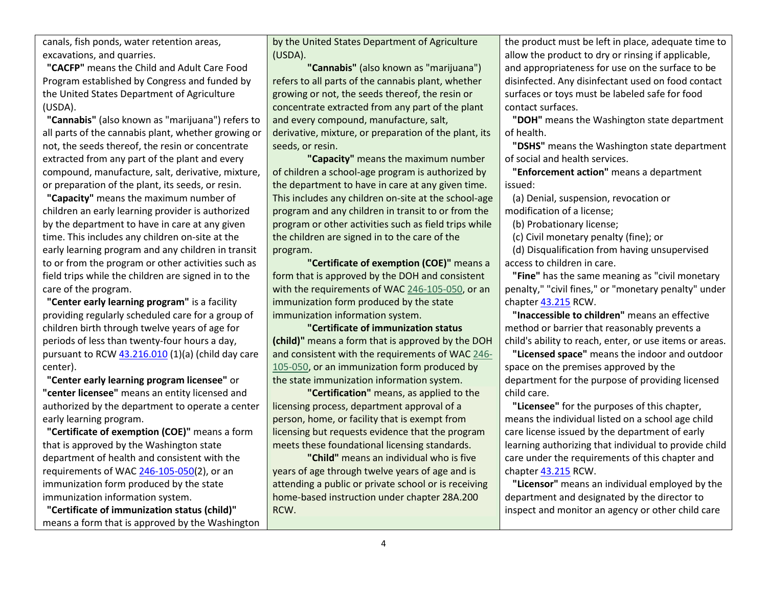canals, fish ponds, water retention areas, excavations, and quarries.

**"CACFP"** means the Child and Adult Care Food Program established by Congress and funded by the United States Department of Agriculture (USDA).

**"Cannabis"** (also known as "marijuana") refers to all parts of the cannabis plant, whether growing or not, the seeds thereof, the resin or concentrate extracted from any part of the plant and every compound, manufacture, salt, derivative, mixture, or preparation of the plant, its seeds, or resin.

**"Capacity"** means the maximum number of children an early learning provider is authorized by the department to have in care at any given time. This includes any children on-site at the early learning program and any children in transit to or from the program or other activities such as field trips while the children are signed in to the care of the program.

**"Center early learning program"** is a facility providing regularly scheduled care for a group of children birth through twelve years of age for periods of less than twenty-four hours a day, pursuant to RCW  $43.216.010(1)(a)$  (child day care center).

**"Center early learning program licensee"** or **"center licensee"** means an entity licensed and authorized by the department to operate a center early learning program.

**"Certificate of exemption (COE)"** means a form that is approved by the Washington state department of health and consistent with the requirements of WA[C 246-105-050\(](https://apps.leg.wa.gov/wac/default.aspx?cite=246-105-050)2), or an immunization form produced by the state immunization information system.

**"Certificate of immunization status (child)"** means a form that is approved by the Washington

by the United States Department of Agriculture (USDA).

**"Cannabis"** (also known as "marijuana") refers to all parts of the cannabis plant, whether growing or not, the seeds thereof, the resin or concentrate extracted from any part of the plant and every compound, manufacture, salt, derivative, mixture, or preparation of the plant, its seeds, or resin.

**"Capacity"** means the maximum number of children a school-age program is authorized by the department to have in care at any given time. This includes any children on-site at the school-age program and any children in transit to or from the program or other activities such as field trips while the children are signed in to the care of the program.

**"Certificate of exemption (COE)"** means a form that is approved by the DOH and consistent with the requirements of WA[C 246-105-050,](https://app.leg.wa.gov/wac/default.aspx?cite=246-105-050) or an immunization form produced by the state immunization information system.

**"Certificate of immunization status (child)"** means a form that is approved by the DOH and consistent with the requirements of WA[C 246-](https://app.leg.wa.gov/wac/default.aspx?cite=246-105-050) [105-050,](https://app.leg.wa.gov/wac/default.aspx?cite=246-105-050) or an immunization form produced by the state immunization information system.

**"Certification"** means, as applied to the licensing process, department approval of a person, home, or facility that is exempt from licensing but requests evidence that the program meets these foundational licensing standards.

**"Child"** means an individual who is five years of age through twelve years of age and is attending a public or private school or is receiving home-based instruction under chapter 28A.200 RCW.

the product must be left in place, adequate time to allow the product to dry or rinsing if applicable, and appropriateness for use on the surface to be disinfected. Any disinfectant used on food contact surfaces or toys must be labeled safe for food contact surfaces.

**"DOH"** means the Washington state department of health.

**"DSHS"** means the Washington state department of social and health services.

**"Enforcement action"** means a department issued:

(a) Denial, suspension, revocation or modification of a license;

(b) Probationary license;

(c) Civil monetary penalty (fine); or

(d) Disqualification from having unsupervised access to children in care.

**"Fine"** has the same meaning as "civil monetary penalty," "civil fines," or "monetary penalty" under chapter [43.215](http://app.leg.wa.gov/RCW/default.aspx?cite=43.215) RCW.

**"Inaccessible to children"** means an effective method or barrier that reasonably prevents a child's ability to reach, enter, or use items or areas.

**"Licensed space"** means the indoor and outdoor space on the premises approved by the department for the purpose of providing licensed child care.

**"Licensee"** for the purposes of this chapter, means the individual listed on a school age child care license issued by the department of early learning authorizing that individual to provide child care under the requirements of this chapter and chapter [43.215](http://app.leg.wa.gov/RCW/default.aspx?cite=43.215) RCW.

**"Licensor"** means an individual employed by the department and designated by the director to inspect and monitor an agency or other child care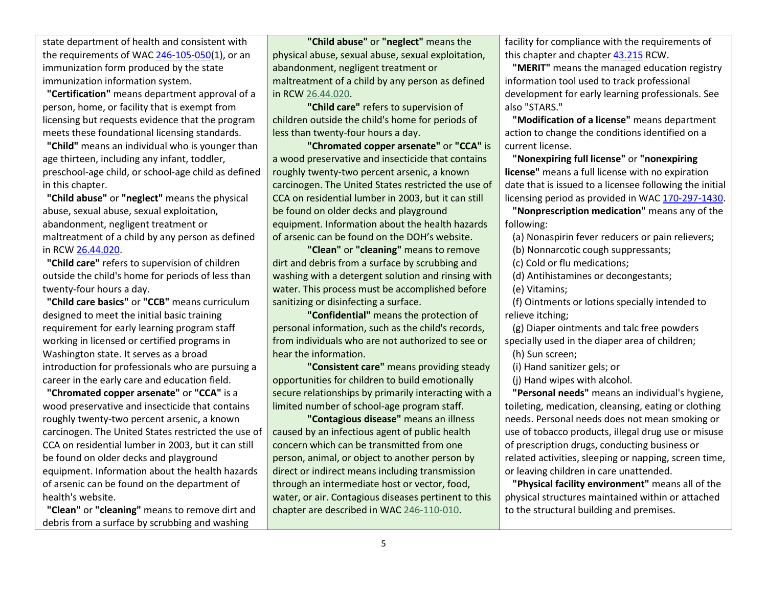state department of health and consistent with the requirements of WAC [246-105-050\(](https://apps.leg.wa.gov/wac/default.aspx?cite=246-105-050)1), or an immunization form produced by the state immunization information system.

**"Certification"** means department approval of a person, home, or facility that is exempt from licensing but requests evidence that the program meets these foundational licensing standards.

**"Child"** means an individual who is younger than age thirteen, including any infant, toddler, preschool-age child, or school-age child as defined in this chapter.

**"Child abuse"** or **"neglect"** means the physical abuse, sexual abuse, sexual exploitation, abandonment, negligent treatment or maltreatment of a child by any person as defined in RCW [26.44.020.](http://app.leg.wa.gov/RCW/default.aspx?cite=26.44.020)

**"Child care"** refers to supervision of children outside the child's home for periods of less than twenty-four hours a day.

**"Child care basics"** or **"CCB"** means curriculum designed to meet the initial basic training requirement for early learning program staff working in licensed or certified programs in Washington state. It serves as a broad introduction for professionals who are pursuing a career in the early care and education field.

**"Chromated copper arsenate"** or **"CCA"** is a wood preservative and insecticide that contains roughly twenty-two percent arsenic, a known carcinogen. The United States restricted the use of CCA on residential lumber in 2003, but it can still be found on older decks and playground equipment. Information about the health hazards of arsenic can be found on the department of health's website.

**"Clean"** or **"cleaning"** means to remove dirt and debris from a surface by scrubbing and washing

**"Child abuse"** or **"neglect"** means the physical abuse, sexual abuse, sexual exploitation, abandonment, negligent treatment or maltreatment of a child by any person as defined in RCW [26.44.020.](http://app.leg.wa.gov/RCW/default.aspx?cite=26.44.020)

**"Child care"** refers to supervision of children outside the child's home for periods of less than twenty-four hours a day.

**"Chromated copper arsenate"** or **"CCA"** is a wood preservative and insecticide that contains roughly twenty-two percent arsenic, a known carcinogen. The United States restricted the use of CCA on residential lumber in 2003, but it can still be found on older decks and playground equipment. Information about the health hazards of arsenic can be found on the DOH's website.

**"Clean"** or **"cleaning"** means to remove dirt and debris from a surface by scrubbing and washing with a detergent solution and rinsing with water. This process must be accomplished before sanitizing or disinfecting a surface.

**"Confidential"** means the protection of personal information, such as the child's records, from individuals who are not authorized to see or hear the information.

**"Consistent care"** means providing steady opportunities for children to build emotionally secure relationships by primarily interacting with a limited number of school-age program staff.

**"Contagious disease"** means an illness caused by an infectious agent of public health concern which can be transmitted from one person, animal, or object to another person by direct or indirect means including transmission through an intermediate host or vector, food, water, or air. Contagious diseases pertinent to this chapter are described in WA[C 246-110-010.](https://app.leg.wa.gov/wac/default.aspx?cite=246-110-010)

facility for compliance with the requirements of this chapter and chapter [43.215](http://app.leg.wa.gov/RCW/default.aspx?cite=43.215) RCW.

**"MERIT"** means the managed education registry information tool used to track professional development for early learning professionals. See also "STARS."

**"Modification of a license"** means department action to change the conditions identified on a current license.

**"Nonexpiring full license"** or **"nonexpiring license"** means a full license with no expiration date that is issued to a licensee following the initial licensing period as provided in WAC [170-297-1430.](https://apps.leg.wa.gov/wac/default.aspx?cite=170-297-1430)

**"Nonprescription medication"** means any of the following:

(a) Nonaspirin fever reducers or pain relievers;

(b) Nonnarcotic cough suppressants;

(c) Cold or flu medications;

(d) Antihistamines or decongestants;

(e) Vitamins;

(f) Ointments or lotions specially intended to relieve itching;

(g) Diaper ointments and talc free powders specially used in the diaper area of children;

(h) Sun screen;

(i) Hand sanitizer gels; or

(j) Hand wipes with alcohol.

**"Personal needs"** means an individual's hygiene, toileting, medication, cleansing, eating or clothing needs. Personal needs does not mean smoking or use of tobacco products, illegal drug use or misuse of prescription drugs, conducting business or related activities, sleeping or napping, screen time, or leaving children in care unattended.

**"Physical facility environment"** means all of the physical structures maintained within or attached to the structural building and premises.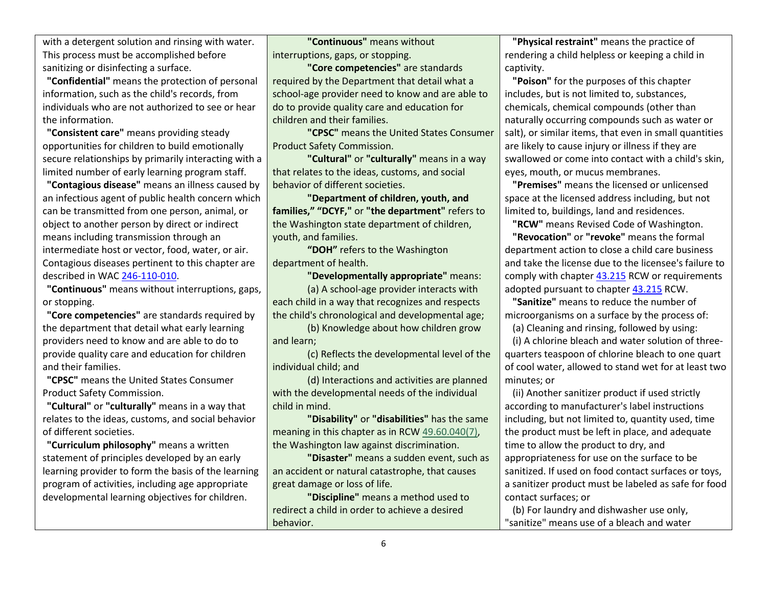with a detergent solution and rinsing with water. This process must be accomplished before sanitizing or disinfecting a surface.

**"Confidential"** means the protection of personal information, such as the child's records, from individuals who are not authorized to see or hear the information.

**"Consistent care"** means providing steady opportunities for children to build emotionally secure relationships by primarily interacting with a limited number of early learning program staff.

**"Contagious disease"** means an illness caused by an infectious agent of public health concern which can be transmitted from one person, animal, or object to another person by direct or indirect means including transmission through an intermediate host or vector, food, water, or air. Contagious diseases pertinent to this chapter are described in WAC [246-110-010.](https://apps.leg.wa.gov/wac/default.aspx?cite=246-110-010)

**"Continuous"** means without interruptions, gaps, or stopping.

**"Core competencies"** are standards required by the department that detail what early learning providers need to know and are able to do to provide quality care and education for children and their families.

**"CPSC"** means the United States Consumer Product Safety Commission.

**"Cultural"** or **"culturally"** means in a way that relates to the ideas, customs, and social behavior of different societies.

**"Curriculum philosophy"** means a written statement of principles developed by an early learning provider to form the basis of the learning program of activities, including age appropriate developmental learning objectives for children.

**"Continuous"** means without interruptions, gaps, or stopping.

**"Core competencies"** are standards required by the Department that detail what a school-age provider need to know and are able to do to provide quality care and education for children and their families.

**"CPSC"** means the United States Consumer Product Safety Commission.

**"Cultural"** or **"culturally"** means in a way that relates to the ideas, customs, and social behavior of different societies.

**"Department of children, youth, and families," "DCYF,"** or **"the department"** refers to the Washington state department of children, youth, and families.

**"DOH"** refers to the Washington department of health.

**"Developmentally appropriate"** means: (a) A school-age provider interacts with each child in a way that recognizes and respects the child's chronological and developmental age;

(b) Knowledge about how children grow and learn;

(c) Reflects the developmental level of the individual child; and

(d) Interactions and activities are planned with the developmental needs of the individual child in mind.

**"Disability"** or **"disabilities"** has the same meaning in this chapter as in RCW [49.60.040\(](http://app.leg.wa.gov/RCW/default.aspx?cite=49.60.040)7), the Washington law against discrimination.

**"Disaster"** means a sudden event, such as an accident or natural catastrophe, that causes great damage or loss of life.

**"Discipline"** means a method used to redirect a child in order to achieve a desired behavior.

**"Physical restraint"** means the practice of rendering a child helpless or keeping a child in captivity.

**"Poison"** for the purposes of this chapter includes, but is not limited to, substances, chemicals, chemical compounds (other than naturally occurring compounds such as water or salt), or similar items, that even in small quantities are likely to cause injury or illness if they are swallowed or come into contact with a child's skin, eyes, mouth, or mucus membranes.

**"Premises"** means the licensed or unlicensed space at the licensed address including, but not limited to, buildings, land and residences.

**"RCW"** means Revised Code of Washington.

**"Revocation"** or **"revoke"** means the formal department action to close a child care business and take the license due to the licensee's failure to comply with chapte[r 43.215](http://app.leg.wa.gov/RCW/default.aspx?cite=43.215) RCW or requirements adopted pursuant to chapter [43.215](http://app.leg.wa.gov/RCW/default.aspx?cite=43.215) RCW.

**"Sanitize"** means to reduce the number of microorganisms on a surface by the process of:

(a) Cleaning and rinsing, followed by using:

(i) A chlorine bleach and water solution of threequarters teaspoon of chlorine bleach to one quart of cool water, allowed to stand wet for at least two minutes; or

(ii) Another sanitizer product if used strictly according to manufacturer's label instructions including, but not limited to, quantity used, time the product must be left in place, and adequate time to allow the product to dry, and appropriateness for use on the surface to be sanitized. If used on food contact surfaces or toys, a sanitizer product must be labeled as safe for food contact surfaces; or

(b) For laundry and dishwasher use only, "sanitize" means use of a bleach and water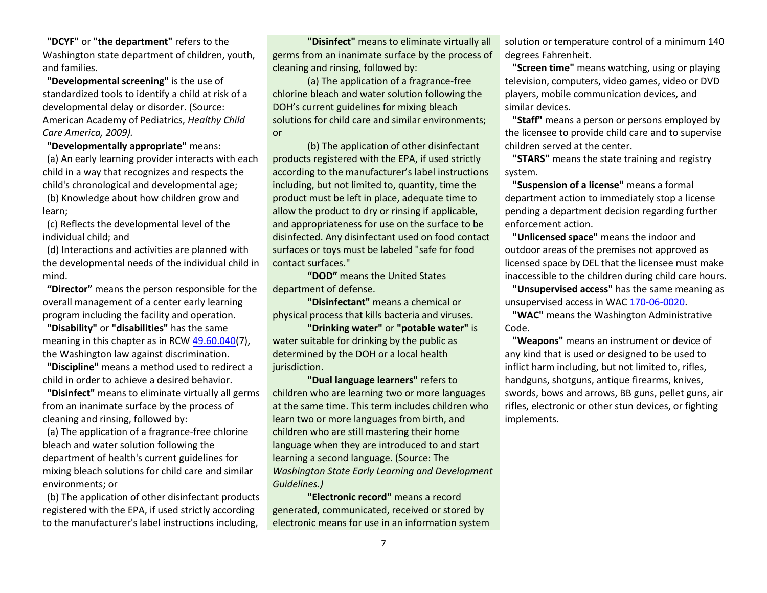**"DCYF"** or **"the department"** refers to the Washington state department of children, youth, and families.

**"Developmental screening"** is the use of standardized tools to identify a child at risk of a developmental delay or disorder. (Source: American Academy of Pediatrics, *Healthy Child Care America, 2009).*

**"Developmentally appropriate"** means: (a) An early learning provider interacts with each child in a way that recognizes and respects the child's chronological and developmental age; (b) Knowledge about how children grow and learn;

(c) Reflects the developmental level of the individual child; and

(d) Interactions and activities are planned with the developmental needs of the individual child in mind.

**"Director"** means the person responsible for the overall management of a center early learning program including the facility and operation.

**"Disability"** or **"disabilities"** has the same meaning in this chapter as in RCW [49.60.040\(](http://app.leg.wa.gov/RCW/default.aspx?cite=49.60.040)7), the Washington law against discrimination.

**"Discipline"** means a method used to redirect a child in order to achieve a desired behavior.

**"Disinfect"** means to eliminate virtually all germs from an inanimate surface by the process of cleaning and rinsing, followed by:

(a) The application of a fragrance-free chlorine bleach and water solution following the department of health's current guidelines for mixing bleach solutions for child care and similar environments; or

(b) The application of other disinfectant products registered with the EPA, if used strictly according to the manufacturer's label instructions including,

**"Disinfect"** means to eliminate virtually all germs from an inanimate surface by the process of cleaning and rinsing, followed by:

(a) The application of a fragrance-free chlorine bleach and water solution following the DOH's current guidelines for mixing bleach solutions for child care and similar environments; or

(b) The application of other disinfectant products registered with the EPA, if used strictly according to the manufacturer's label instructions including, but not limited to, quantity, time the product must be left in place, adequate time to allow the product to dry or rinsing if applicable, and appropriateness for use on the surface to be disinfected. Any disinfectant used on food contact surfaces or toys must be labeled "safe for food contact surfaces."

**"DOD"** means the United States department of defense.

**"Disinfectant"** means a chemical or physical process that kills bacteria and viruses.

**"Drinking water"** or **"potable water"** is water suitable for drinking by the public as determined by the DOH or a local health jurisdiction.

**"Dual language learners"** refers to children who are learning two or more languages at the same time. This term includes children who learn two or more languages from birth, and children who are still mastering their home language when they are introduced to and start learning a second language. (Source: The *Washington State Early Learning and Development Guidelines.)*

**"Electronic record"** means a record generated, communicated, received or stored by electronic means for use in an information system solution or temperature control of a minimum 140 degrees Fahrenheit.

**"Screen time"** means watching, using or playing television, computers, video games, video or DVD players, mobile communication devices, and similar devices.

**"Staff"** means a person or persons employed by the licensee to provide child care and to supervise children served at the center.

**"STARS"** means the state training and registry system.

**"Suspension of a license"** means a formal department action to immediately stop a license pending a department decision regarding further enforcement action.

**"Unlicensed space"** means the indoor and outdoor areas of the premises not approved as licensed space by DEL that the licensee must make inaccessible to the children during child care hours.

**"Unsupervised access"** has the same meaning as unsupervised access in WAC [170-06-0020.](https://apps.leg.wa.gov/wac/default.aspx?cite=170-06-0020)

**"WAC"** means the Washington Administrative Code.

**"Weapons"** means an instrument or device of any kind that is used or designed to be used to inflict harm including, but not limited to, rifles, handguns, shotguns, antique firearms, knives, swords, bows and arrows, BB guns, pellet guns, air rifles, electronic or other stun devices, or fighting implements.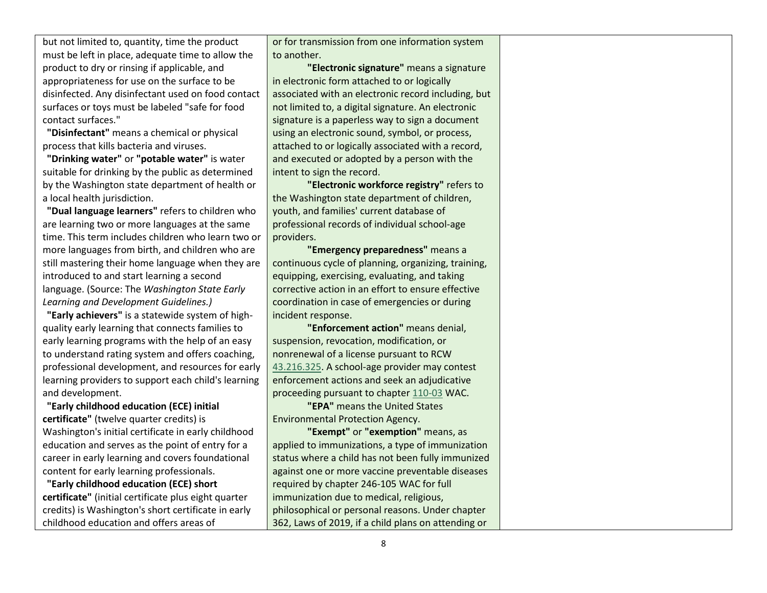but not limited to, quantity, time the product must be left in place, adequate time to allow the product to dry or rinsing if applicable, and appropriateness for use on the surface to be disinfected. Any disinfectant used on food contact surfaces or toys must be labeled "safe for food contact surfaces."

**"Disinfectant"** means a chemical or physical process that kills bacteria and viruses.

**"Drinking water"** or **"potable water"** is water suitable for drinking by the public as determined by the Washington state department of health or a local health jurisdiction.

**"Dual language learners"** refers to children who are learning two or more languages at the same time. This term includes children who learn two or more languages from birth, and children who are still mastering their home language when they are introduced to and start learning a second language. (Source: The *Washington State Early Learning and Development Guidelines.)*

**"Early achievers"** is a statewide system of highquality early learning that connects families to early learning programs with the help of an easy to understand rating system and offers coaching, professional development, and resources for early learning providers to support each child's learning and development.

**"Early childhood education (ECE) initial certificate"** (twelve quarter credits) is Washington's initial certificate in early childhood education and serves as the point of entry for a career in early learning and covers foundational content for early learning professionals.

**"Early childhood education (ECE) short certificate"** (initial certificate plus eight quarter credits) is Washington's short certificate in early childhood education and offers areas of

or for transmission from one information system to another.

**"Electronic signature"** means a signature in electronic form attached to or logically associated with an electronic record including, but not limited to, a digital signature. An electronic signature is a paperless way to sign a document using an electronic sound, symbol, or process, attached to or logically associated with a record, and executed or adopted by a person with the intent to sign the record.

**"Electronic workforce registry"** refers to the Washington state department of children, youth, and families' current database of professional records of individual school-age providers.

**"Emergency preparedness"** means a continuous cycle of planning, organizing, training, equipping, exercising, evaluating, and taking corrective action in an effort to ensure effective coordination in case of emergencies or during incident response.

**"Enforcement action"** means denial, suspension, revocation, modification, or nonrenewal of a license pursuant to RCW [43.216.325.](http://app.leg.wa.gov/RCW/default.aspx?cite=43.216.325) A school-age provider may contest enforcement actions and seek an adjudicative proceeding pursuant to chapte[r 110-03](https://app.leg.wa.gov/wac/default.aspx?cite=110-03) WAC.

**"EPA"** means the United States Environmental Protection Agency.

**"Exempt"** or **"exemption"** means, as applied to immunizations, a type of immunization status where a child has not been fully immunized against one or more vaccine preventable diseases required by chapter 246-105 WAC for full immunization due to medical, religious, philosophical or personal reasons. Under chapter 362, Laws of 2019, if a child plans on attending or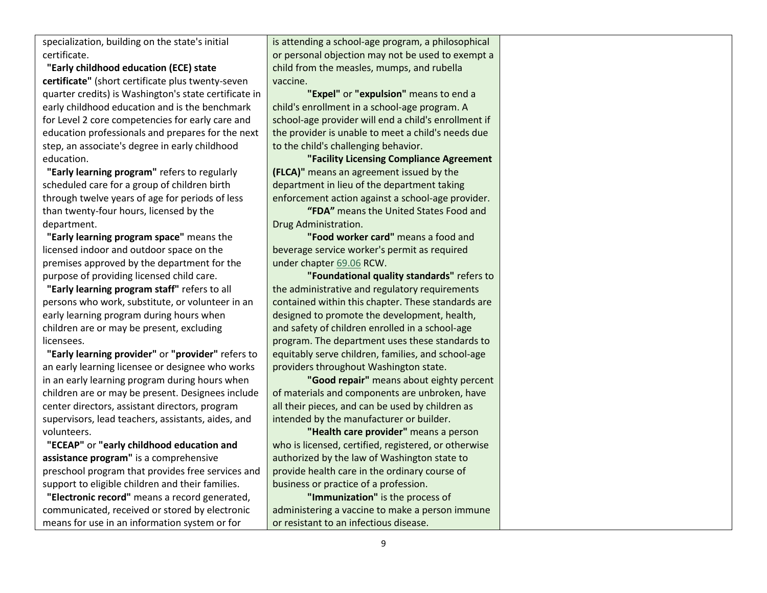specialization, building on the state's initial certificate.

**"Early childhood education (ECE) state certificate"** (short certificate plus twenty-seven quarter credits) is Washington's state certificate in early childhood education and is the benchmark for Level 2 core competencies for early care and education professionals and prepares for the next step, an associate's degree in early childhood education.

**"Early learning program"** refers to regularly scheduled care for a group of children birth through twelve years of age for periods of less than twenty-four hours, licensed by the department.

**"Early learning program space"** means the licensed indoor and outdoor space on the premises approved by the department for the purpose of providing licensed child care.

**"Early learning program staff"** refers to all persons who work, substitute, or volunteer in an early learning program during hours when children are or may be present, excluding licensees.

**"Early learning provider"** or **"provider"** refers to an early learning licensee or designee who works in an early learning program during hours when children are or may be present. Designees include center directors, assistant directors, program supervisors, lead teachers, assistants, aides, and volunteers.

**"ECEAP"** or **"early childhood education and assistance program"** is a comprehensive preschool program that provides free services and support to eligible children and their families.

**"Electronic record"** means a record generated, communicated, received or stored by electronic means for use in an information system or for

is attending a school-age program, a philosophical or personal objection may not be used to exempt a child from the measles, mumps, and rubella vaccine.

**"Expel"** or **"expulsion"** means to end a child's enrollment in a school-age program. A school-age provider will end a child's enrollment if the provider is unable to meet a child's needs due to the child's challenging behavior.

**"Facility Licensing Compliance Agreement (FLCA)"** means an agreement issued by the department in lieu of the department taking enforcement action against a school-age provider.

**"FDA"** means the United States Food and Drug Administration.

**"Food worker card"** means a food and beverage service worker's permit as required under chapte[r 69.06](http://app.leg.wa.gov/RCW/default.aspx?cite=69.06) RCW.

**"Foundational quality standards"** refers to the administrative and regulatory requirements contained within this chapter. These standards are designed to promote the development, health, and safety of children enrolled in a school-age program. The department uses these standards to equitably serve children, families, and school-age providers throughout Washington state.

**"Good repair"** means about eighty percent of materials and components are unbroken, have all their pieces, and can be used by children as intended by the manufacturer or builder.

**"Health care provider"** means a person who is licensed, certified, registered, or otherwise authorized by the law of Washington state to provide health care in the ordinary course of business or practice of a profession.

**"Immunization"** is the process of administering a vaccine to make a person immune or resistant to an infectious disease.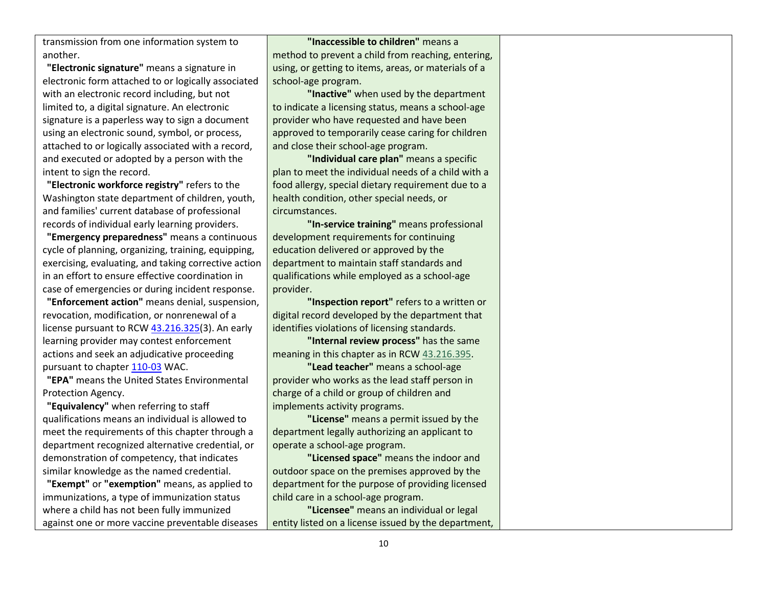transmission from one information system to another.

**"Electronic signature"** means a signature in electronic form attached to or logically associated with an electronic record including, but not limited to, a digital signature. An electronic signature is a paperless way to sign a document using an electronic sound, symbol, or process, attached to or logically associated with a record, and executed or adopted by a person with the intent to sign the record.

**"Electronic workforce registry"** refers to the Washington state department of children, youth, and families' current database of professional records of individual early learning providers.

**"Emergency preparedness"** means a continuous cycle of planning, organizing, training, equipping, exercising, evaluating, and taking corrective action in an effort to ensure effective coordination in case of emergencies or during incident response.

**"Enforcement action"** means denial, suspension, revocation, modification, or nonrenewal of a license pursuant to RCW [43.216.325\(](http://app.leg.wa.gov/RCW/default.aspx?cite=43.216.325)3). An early learning provider may contest enforcement actions and seek an adjudicative proceeding pursuant to chapte[r 110-03](https://apps.leg.wa.gov/wac/default.aspx?cite=110-03) WAC.

**"EPA"** means the United States Environmental Protection Agency.

**"Equivalency"** when referring to staff qualifications means an individual is allowed to meet the requirements of this chapter through a department recognized alternative credential, or demonstration of competency, that indicates similar knowledge as the named credential.

**"Exempt"** or **"exemption"** means, as applied to immunizations, a type of immunization status where a child has not been fully immunized against one or more vaccine preventable diseases

**"Inaccessible to children"** means a method to prevent a child from reaching, entering, using, or getting to items, areas, or materials of a school-age program.

**"Inactive"** when used by the department to indicate a licensing status, means a school-age provider who have requested and have been approved to temporarily cease caring for children and close their school-age program.

**"Individual care plan"** means a specific plan to meet the individual needs of a child with a food allergy, special dietary requirement due to a health condition, other special needs, or circumstances.

**"In-service training"** means professional development requirements for continuing education delivered or approved by the department to maintain staff standards and qualifications while employed as a school-age provider.

**"Inspection report"** refers to a written or digital record developed by the department that identifies violations of licensing standards.

**"Internal review process"** has the same meaning in this chapter as in RCW [43.216.395.](http://app.leg.wa.gov/RCW/default.aspx?cite=43.216.395)

**"Lead teacher"** means a school-age provider who works as the lead staff person in charge of a child or group of children and implements activity programs.

**"License"** means a permit issued by the department legally authorizing an applicant to operate a school-age program.

**"Licensed space"** means the indoor and outdoor space on the premises approved by the department for the purpose of providing licensed child care in a school-age program.

**"Licensee"** means an individual or legal entity listed on a license issued by the department,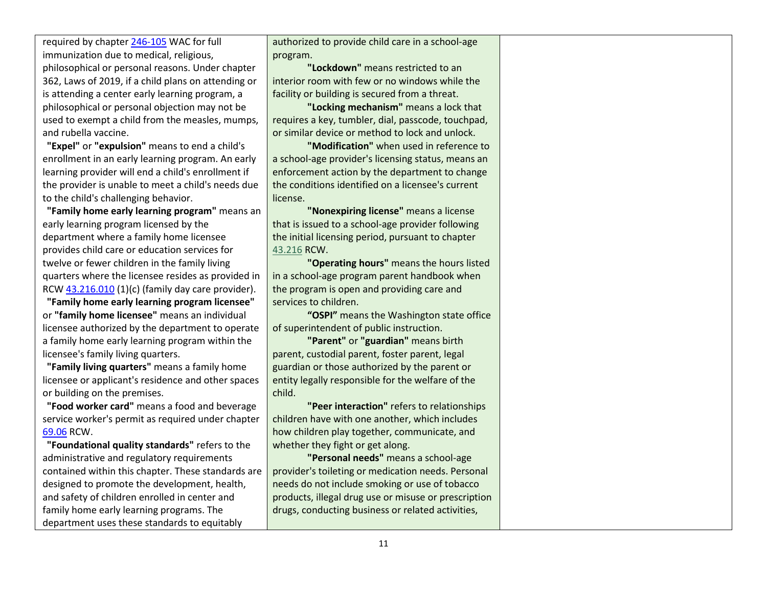required by chapter [246-105](https://apps.leg.wa.gov/wac/default.aspx?cite=246-105) WAC for full immunization due to medical, religious, philosophical or personal reasons. Under chapter 362, Laws of 2019, if a child plans on attending or is attending a center early learning program, a philosophical or personal objection may not be used to exempt a child from the measles, mumps, and rubella vaccine.

**"Expel"** or **"expulsion"** means to end a child's enrollment in an early learning program. An early learning provider will end a child's enrollment if the provider is unable to meet a child's needs due to the child's challenging behavior.

**"Family home early learning program"** means an early learning program licensed by the department where a family home licensee provides child care or education services for twelve or fewer children in the family living quarters where the licensee resides as provided in RCW  $43.216.010(1)(c)$  (family day care provider).

**"Family home early learning program licensee"** or **"family home licensee"** means an individual licensee authorized by the department to operate a family home early learning program within the licensee's family living quarters.

**"Family living quarters"** means a family home licensee or applicant's residence and other spaces or building on the premises.

**"Food worker card"** means a food and beverage service worker's permit as required under chapter [69.06](http://app.leg.wa.gov/RCW/default.aspx?cite=69.06) RCW.

**"Foundational quality standards"** refers to the administrative and regulatory requirements contained within this chapter. These standards are designed to promote the development, health, and safety of children enrolled in center and family home early learning programs. The department uses these standards to equitably

authorized to provide child care in a school-age program.

**"Lockdown"** means restricted to an interior room with few or no windows while the facility or building is secured from a threat.

**"Locking mechanism"** means a lock that requires a key, tumbler, dial, passcode, touchpad, or similar device or method to lock and unlock.

**"Modification"** when used in reference to a school-age provider's licensing status, means an enforcement action by the department to change the conditions identified on a licensee's current license.

**"Nonexpiring license"** means a license that is issued to a school-age provider following the initial licensing period, pursuant to chapter [43.216](http://app.leg.wa.gov/RCW/default.aspx?cite=43.216) RCW.

**"Operating hours"** means the hours listed in a school-age program parent handbook when the program is open and providing care and services to children.

**"OSPI"** means the Washington state office of superintendent of public instruction.

**"Parent"** or **"guardian"** means birth parent, custodial parent, foster parent, legal guardian or those authorized by the parent or entity legally responsible for the welfare of the child.

**"Peer interaction"** refers to relationships children have with one another, which includes how children play together, communicate, and whether they fight or get along.

**"Personal needs"** means a school-age provider's toileting or medication needs. Personal needs do not include smoking or use of tobacco products, illegal drug use or misuse or prescription drugs, conducting business or related activities,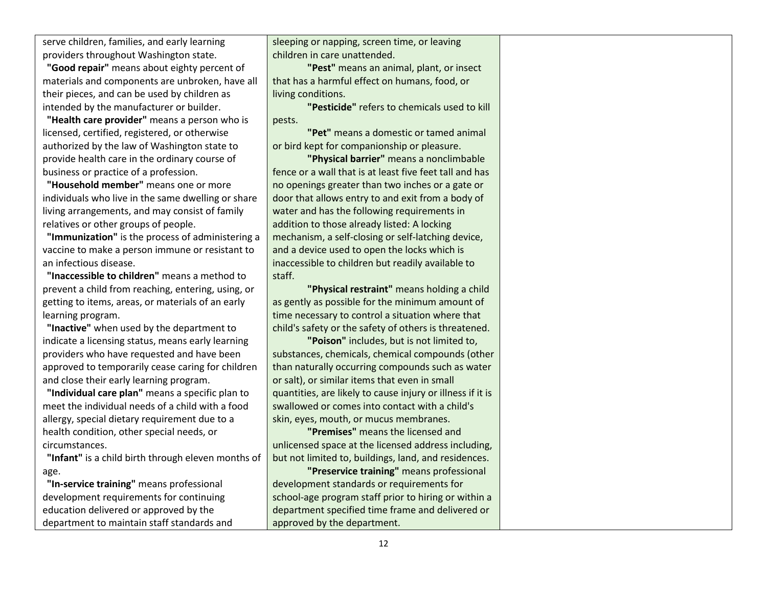serve children, families, and early learning providers throughout Washington state.

**"Good repair"** means about eighty percent of materials and components are unbroken, have all their pieces, and can be used by children as intended by the manufacturer or builder.

**"Health care provider"** means a person who is licensed, certified, registered, or otherwise authorized by the law of Washington state to provide health care in the ordinary course of business or practice of a profession.

**"Household member"** means one or more individuals who live in the same dwelling or share living arrangements, and may consist of family relatives or other groups of people.

**"Immunization"** is the process of administering a vaccine to make a person immune or resistant to an infectious disease.

**"Inaccessible to children"** means a method to prevent a child from reaching, entering, using, or getting to items, areas, or materials of an early learning program.

**"Inactive"** when used by the department to indicate a licensing status, means early learning providers who have requested and have been approved to temporarily cease caring for children and close their early learning program.

**"Individual care plan"** means a specific plan to meet the individual needs of a child with a food allergy, special dietary requirement due to a health condition, other special needs, or circumstances.

**"Infant"** is a child birth through eleven months of age.

**"In-service training"** means professional development requirements for continuing education delivered or approved by the department to maintain staff standards and sleeping or napping, screen time, or leaving children in care unattended.

**"Pest"** means an animal, plant, or insect that has a harmful effect on humans, food, or living conditions.

**"Pesticide"** refers to chemicals used to kill pests.

**"Pet"** means a domestic or tamed animal or bird kept for companionship or pleasure.

**"Physical barrier"** means a nonclimbable fence or a wall that is at least five feet tall and has no openings greater than two inches or a gate or door that allows entry to and exit from a body of water and has the following requirements in addition to those already listed: A locking mechanism, a self-closing or self-latching device, and a device used to open the locks which is inaccessible to children but readily available to staff.

**"Physical restraint"** means holding a child as gently as possible for the minimum amount of time necessary to control a situation where that child's safety or the safety of others is threatened.

**"Poison"** includes, but is not limited to, substances, chemicals, chemical compounds (other than naturally occurring compounds such as water or salt), or similar items that even in small quantities, are likely to cause injury or illness if it is swallowed or comes into contact with a child's skin, eyes, mouth, or mucus membranes.

**"Premises"** means the licensed and unlicensed space at the licensed address including, but not limited to, buildings, land, and residences.

**"Preservice training"** means professional development standards or requirements for school-age program staff prior to hiring or within a department specified time frame and delivered or approved by the department.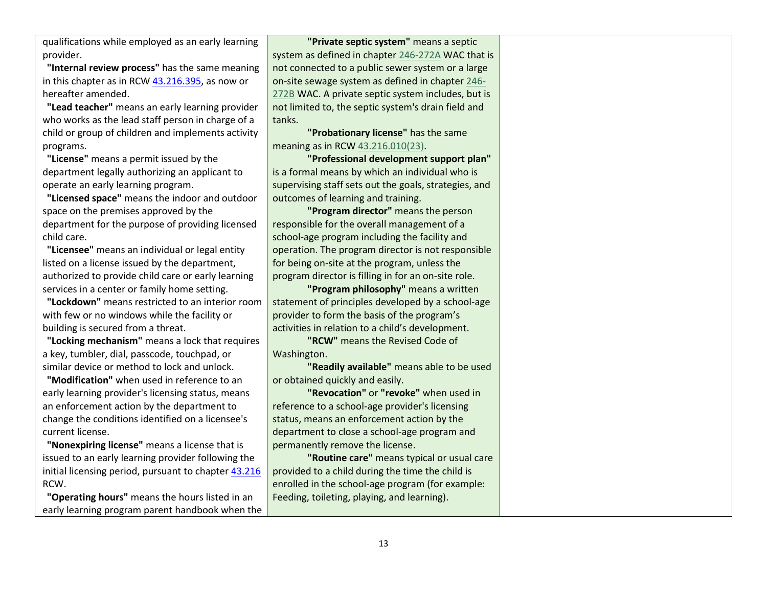qualifications while employed as an early learning provider.

**"Internal review process"** has the same meaning in this chapter as in RC[W 43.216.395,](http://app.leg.wa.gov/RCW/default.aspx?cite=43.216.395) as now or hereafter amended.

**"Lead teacher"** means an early learning provider who works as the lead staff person in charge of a child or group of children and implements activity programs.

**"License"** means a permit issued by the department legally authorizing an applicant to operate an early learning program.

**"Licensed space"** means the indoor and outdoor space on the premises approved by the department for the purpose of providing licensed child care.

**"Licensee"** means an individual or legal entity listed on a license issued by the department, authorized to provide child care or early learning services in a center or family home setting.

**"Lockdown"** means restricted to an interior room with few or no windows while the facility or building is secured from a threat.

**"Locking mechanism"** means a lock that requires a key, tumbler, dial, passcode, touchpad, or similar device or method to lock and unlock.

**"Modification"** when used in reference to an early learning provider's licensing status, means an enforcement action by the department to change the conditions identified on a licensee's current license.

**"Nonexpiring license"** means a license that is issued to an early learning provider following the initial licensing period, pursuant to chapte[r 43.216](http://app.leg.wa.gov/RCW/default.aspx?cite=43.216) RCW.

**"Operating hours"** means the hours listed in an early learning program parent handbook when the

**"Private septic system"** means a septic system as defined in chapter [246-272A](https://app.leg.wa.gov/wac/default.aspx?cite=246-272A) WAC that is not connected to a public sewer system or a large on-site sewage system as defined in chapte[r 246-](https://app.leg.wa.gov/wac/default.aspx?cite=246-272B) [272B](https://app.leg.wa.gov/wac/default.aspx?cite=246-272B) WAC. A private septic system includes, but is not limited to, the septic system's drain field and tanks.

**"Probationary license"** has the same meaning as in RC[W 43.216.010\(](http://app.leg.wa.gov/RCW/default.aspx?cite=43.216.010)23).

**"Professional development support plan"** is a formal means by which an individual who is supervising staff sets out the goals, strategies, and outcomes of learning and training.

**"Program director"** means the person responsible for the overall management of a school-age program including the facility and operation. The program director is not responsible for being on-site at the program, unless the program director is filling in for an on-site role.

**"Program philosophy"** means a written statement of principles developed by a school-age provider to form the basis of the program's activities in relation to a child's development.

**"RCW"** means the Revised Code of Washington.

**"Readily available"** means able to be used or obtained quickly and easily.

**"Revocation"** or **"revoke"** when used in reference to a school-age provider's licensing status, means an enforcement action by the department to close a school-age program and permanently remove the license.

**"Routine care"** means typical or usual care provided to a child during the time the child is enrolled in the school-age program (for example: Feeding, toileting, playing, and learning).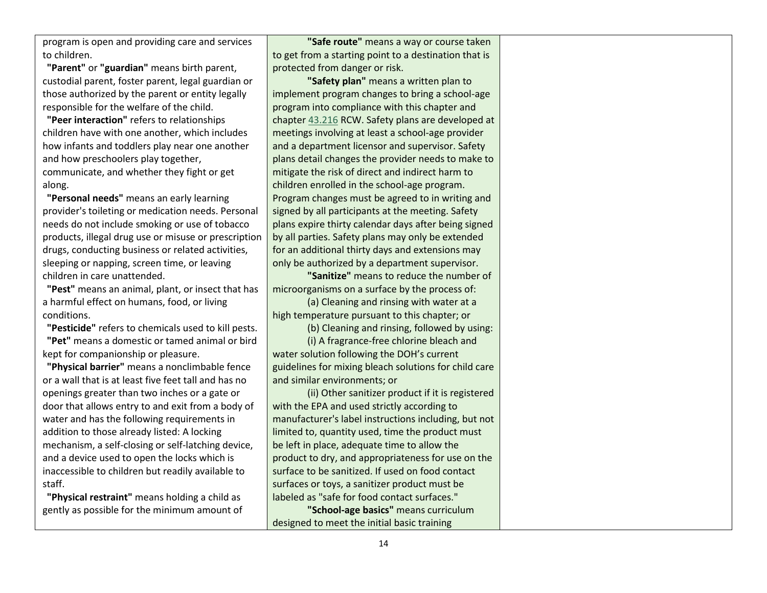program is open and providing care and services to children.

**"Parent"** or **"guardian"** means birth parent, custodial parent, foster parent, legal guardian or those authorized by the parent or entity legally responsible for the welfare of the child.

**"Peer interaction"** refers to relationships children have with one another, which includes how infants and toddlers play near one another and how preschoolers play together, communicate, and whether they fight or get along.

**"Personal needs"** means an early learning provider's toileting or medication needs. Personal needs do not include smoking or use of tobacco products, illegal drug use or misuse or prescription drugs, conducting business or related activities, sleeping or napping, screen time, or leaving children in care unattended.

**"Pest"** means an animal, plant, or insect that has a harmful effect on humans, food, or living conditions.

**"Pesticide"** refers to chemicals used to kill pests. **"Pet"** means a domestic or tamed animal or bird kept for companionship or pleasure.

**"Physical barrier"** means a nonclimbable fence or a wall that is at least five feet tall and has no openings greater than two inches or a gate or door that allows entry to and exit from a body of water and has the following requirements in addition to those already listed: A locking mechanism, a self-closing or self-latching device, and a device used to open the locks which is inaccessible to children but readily available to staff.

**"Physical restraint"** means holding a child as gently as possible for the minimum amount of

**"Safe route"** means a way or course taken to get from a starting point to a destination that is protected from danger or risk.

**"Safety plan"** means a written plan to implement program changes to bring a school-age program into compliance with this chapter and chapte[r 43.216](http://app.leg.wa.gov/RCW/default.aspx?cite=43.216) RCW. Safety plans are developed at meetings involving at least a school-age provider and a department licensor and supervisor. Safety plans detail changes the provider needs to make to mitigate the risk of direct and indirect harm to children enrolled in the school-age program. Program changes must be agreed to in writing and signed by all participants at the meeting. Safety plans expire thirty calendar days after being signed by all parties. Safety plans may only be extended for an additional thirty days and extensions may only be authorized by a department supervisor.

**"Sanitize"** means to reduce the number of microorganisms on a surface by the process of:

(a) Cleaning and rinsing with water at a high temperature pursuant to this chapter; or

(b) Cleaning and rinsing, followed by using:

(i) A fragrance-free chlorine bleach and water solution following the DOH's current guidelines for mixing bleach solutions for child care and similar environments; or

(ii) Other sanitizer product if it is registered with the EPA and used strictly according to manufacturer's label instructions including, but not limited to, quantity used, time the product must be left in place, adequate time to allow the product to dry, and appropriateness for use on the surface to be sanitized. If used on food contact surfaces or toys, a sanitizer product must be labeled as "safe for food contact surfaces."

**"School-age basics"** means curriculum designed to meet the initial basic training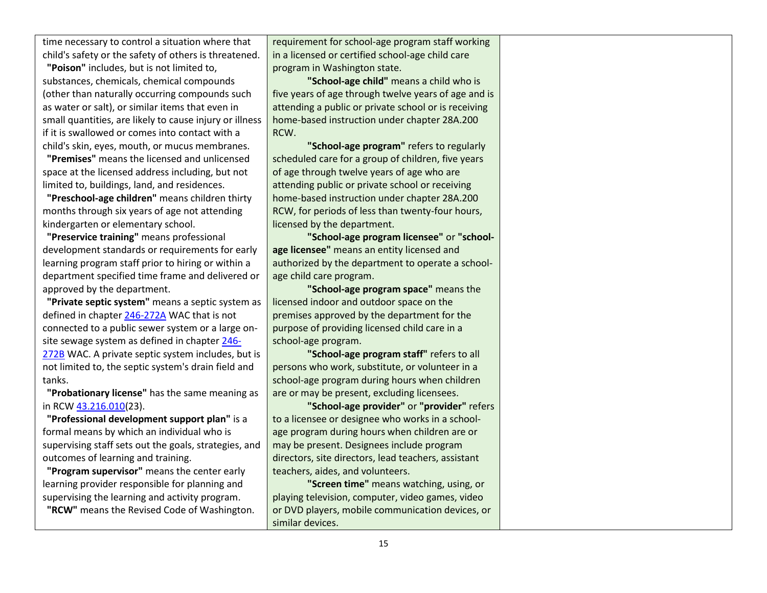time necessary to control a situation where that child's safety or the safety of others is threatened.

**"Poison"** includes, but is not limited to, substances, chemicals, chemical compounds (other than naturally occurring compounds such as water or salt), or similar items that even in small quantities, are likely to cause injury or illness if it is swallowed or comes into contact with a child's skin, eyes, mouth, or mucus membranes.

**"Premises"** means the licensed and unlicensed space at the licensed address including, but not limited to, buildings, land, and residences.

**"Preschool-age children"** means children thirty months through six years of age not attending kindergarten or elementary school.

**"Preservice training"** means professional development standards or requirements for early learning program staff prior to hiring or within a department specified time frame and delivered or approved by the department.

**"Private septic system"** means a septic system as defined in chapte[r 246-272A](https://apps.leg.wa.gov/wac/default.aspx?cite=246-272A) WAC that is not connected to a public sewer system or a large onsite sewage system as defined in chapter [246-](https://apps.leg.wa.gov/wac/default.aspx?cite=246-272B) [272B](https://apps.leg.wa.gov/wac/default.aspx?cite=246-272B) WAC. A private septic system includes, but is not limited to, the septic system's drain field and tanks.

**"Probationary license"** has the same meaning as in RCW [43.216.010\(](http://app.leg.wa.gov/RCW/default.aspx?cite=43.216.010)23).

**"Professional development support plan"** is a formal means by which an individual who is supervising staff sets out the goals, strategies, and outcomes of learning and training.

**"Program supervisor"** means the center early learning provider responsible for planning and supervising the learning and activity program. **"RCW"** means the Revised Code of Washington. requirement for school-age program staff working in a licensed or certified school-age child care program in Washington state.

**"School-age child"** means a child who is five years of age through twelve years of age and is attending a public or private school or is receiving home-based instruction under chapter 28A.200 RCW.

**"School-age program"** refers to regularly scheduled care for a group of children, five years of age through twelve years of age who are attending public or private school or receiving home-based instruction under chapter 28A.200 RCW, for periods of less than twenty-four hours, licensed by the department.

**"School-age program licensee"** or **"schoolage licensee"** means an entity licensed and authorized by the department to operate a schoolage child care program.

**"School-age program space"** means the licensed indoor and outdoor space on the premises approved by the department for the purpose of providing licensed child care in a school-age program.

**"School-age program staff"** refers to all persons who work, substitute, or volunteer in a school-age program during hours when children are or may be present, excluding licensees.

**"School-age provider"** or **"provider"** refers to a licensee or designee who works in a schoolage program during hours when children are or may be present. Designees include program directors, site directors, lead teachers, assistant teachers, aides, and volunteers.

**"Screen time"** means watching, using, or playing television, computer, video games, video or DVD players, mobile communication devices, or similar devices.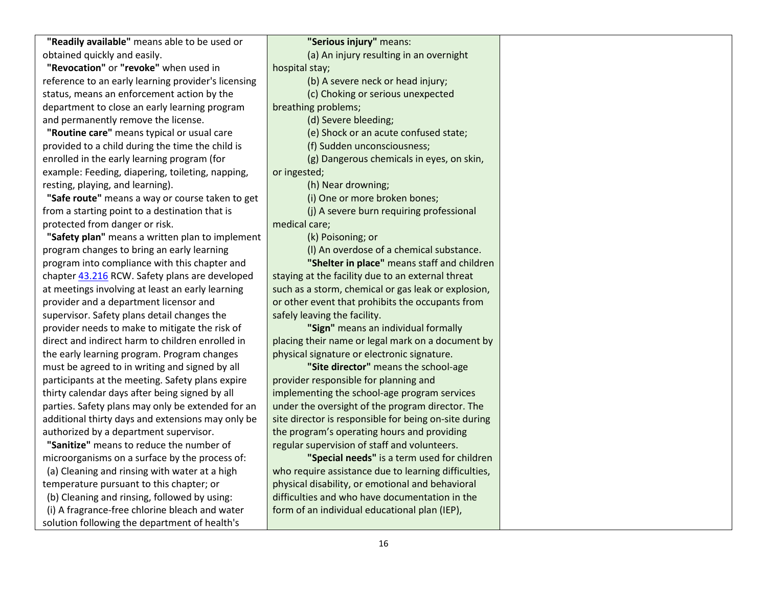**"Readily available"** means able to be used or obtained quickly and easily.

**"Revocation"** or **"revoke"** when used in reference to an early learning provider's licensing status, means an enforcement action by the department to close an early learning program and permanently remove the license.

**"Routine care"** means typical or usual care provided to a child during the time the child is enrolled in the early learning program (for example: Feeding, diapering, toileting, napping, resting, playing, and learning).

**"Safe route"** means a way or course taken to get from a starting point to a destination that is protected from danger or risk.

**"Safety plan"** means a written plan to implement program changes to bring an early learning program into compliance with this chapter and chapter [43.216](http://app.leg.wa.gov/RCW/default.aspx?cite=43.216) RCW. Safety plans are developed at meetings involving at least an early learning provider and a department licensor and supervisor. Safety plans detail changes the provider needs to make to mitigate the risk of direct and indirect harm to children enrolled in the early learning program. Program changes must be agreed to in writing and signed by all participants at the meeting. Safety plans expire thirty calendar days after being signed by all parties. Safety plans may only be extended for an additional thirty days and extensions may only be authorized by a department supervisor.

**"Sanitize"** means to reduce the number of microorganisms on a surface by the process of: (a) Cleaning and rinsing with water at a high temperature pursuant to this chapter; or (b) Cleaning and rinsing, followed by using: (i) A fragrance-free chlorine bleach and water solution following the department of health's

**"Serious injury"** means: (a) An injury resulting in an overnight hospital stay; (b) A severe neck or head injury; (c) Choking or serious unexpected breathing problems; (d) Severe bleeding; (e) Shock or an acute confused state; (f) Sudden unconsciousness; (g) Dangerous chemicals in eyes, on skin, or ingested; (h) Near drowning; (i) One or more broken bones; (j) A severe burn requiring professional medical care; (k) Poisoning; or (l) An overdose of a chemical substance. **"Shelter in place"** means staff and children staying at the facility due to an external threat such as a storm, chemical or gas leak or explosion, or other event that prohibits the occupants from safely leaving the facility. **"Sign"** means an individual formally placing their name or legal mark on a document by physical signature or electronic signature. **"Site director"** means the school-age provider responsible for planning and implementing the school-age program services under the oversight of the program director. The site director is responsible for being on-site during the program's operating hours and providing regular supervision of staff and volunteers.

**"Special needs"** is a term used for children who require assistance due to learning difficulties, physical disability, or emotional and behavioral difficulties and who have documentation in the form of an individual educational plan (IEP),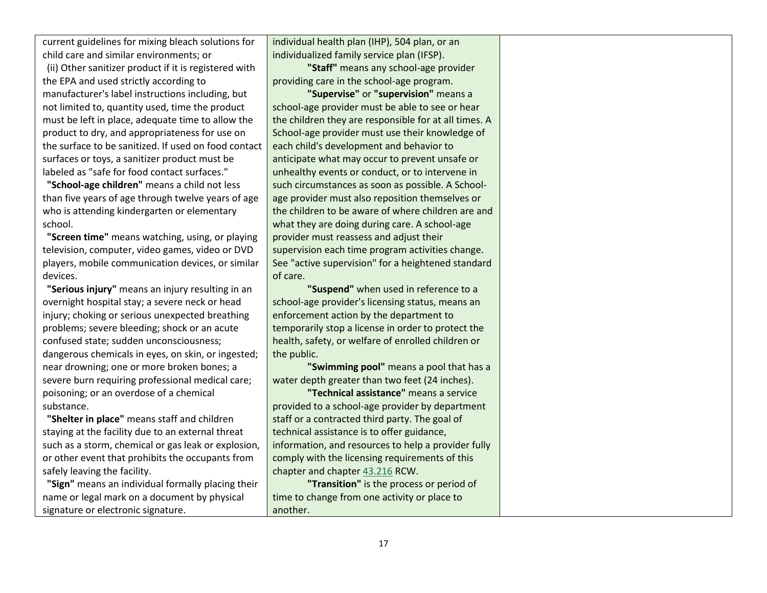current guidelines for mixing bleach solutions for child care and similar environments; or

(ii) Other sanitizer product if it is registered with the EPA and used strictly according to manufacturer's label instructions including, but not limited to, quantity used, time the product must be left in place, adequate time to allow the product to dry, and appropriateness for use on the surface to be sanitized. If used on food contact surfaces or toys, a sanitizer product must be labeled as "safe for food contact surfaces."

**"School-age children"** means a child not less than five years of age through twelve years of age who is attending kindergarten or elementary school.

**"Screen time"** means watching, using, or playing television, computer, video games, video or DVD players, mobile communication devices, or similar devices.

**"Serious injury"** means an injury resulting in an overnight hospital stay; a severe neck or head injury; choking or serious unexpected breathing problems; severe bleeding; shock or an acute confused state; sudden unconsciousness; dangerous chemicals in eyes, on skin, or ingested; near drowning; one or more broken bones; a severe burn requiring professional medical care; poisoning; or an overdose of a chemical substance.

**"Shelter in place"** means staff and children staying at the facility due to an external threat such as a storm, chemical or gas leak or explosion, or other event that prohibits the occupants from safely leaving the facility.

**"Sign"** means an individual formally placing their name or legal mark on a document by physical signature or electronic signature.

individual health plan (IHP), 504 plan, or an individualized family service plan (IFSP).

**"Staff"** means any school-age provider providing care in the school-age program.

**"Supervise"** or **"supervision"** means a school-age provider must be able to see or hear the children they are responsible for at all times. A School-age provider must use their knowledge of each child's development and behavior to anticipate what may occur to prevent unsafe or unhealthy events or conduct, or to intervene in such circumstances as soon as possible. A Schoolage provider must also reposition themselves or the children to be aware of where children are and what they are doing during care. A school-age provider must reassess and adjust their supervision each time program activities change. See "active supervision" for a heightened standard of care.

**"Suspend"** when used in reference to a school-age provider's licensing status, means an enforcement action by the department to temporarily stop a license in order to protect the health, safety, or welfare of enrolled children or the public.

**"Swimming pool"** means a pool that has a water depth greater than two feet (24 inches).

**"Technical assistance"** means a service provided to a school-age provider by department staff or a contracted third party. The goal of technical assistance is to offer guidance, information, and resources to help a provider fully comply with the licensing requirements of this chapter and chapte[r 43.216](http://app.leg.wa.gov/RCW/default.aspx?cite=43.216) RCW.

**"Transition"** is the process or period of time to change from one activity or place to another.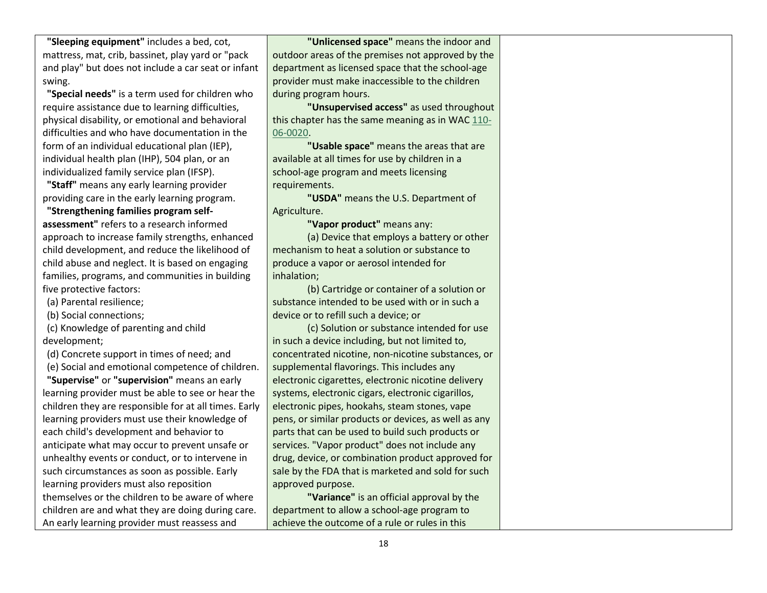**"Sleeping equipment"** includes a bed, cot, mattress, mat, crib, bassinet, play yard or "pack and play" but does not include a car seat or infant swing.

**"Special needs"** is a term used for children who require assistance due to learning difficulties, physical disability, or emotional and behavioral difficulties and who have documentation in the form of an individual educational plan (IEP), individual health plan (IHP), 504 plan, or an individualized family service plan (IFSP).

**"Staff"** means any early learning provider providing care in the early learning program.

**"Strengthening families program selfassessment"** refers to a research informed approach to increase family strengths, enhanced child development, and reduce the likelihood of child abuse and neglect. It is based on engaging families, programs, and communities in building five protective factors:

(a) Parental resilience;

(b) Social connections;

(c) Knowledge of parenting and child development;

(d) Concrete support in times of need; and

(e) Social and emotional competence of children. **"Supervise"** or **"supervision"** means an early learning provider must be able to see or hear the children they are responsible for at all times. Early learning providers must use their knowledge of each child's development and behavior to anticipate what may occur to prevent unsafe or unhealthy events or conduct, or to intervene in such circumstances as soon as possible. Early learning providers must also reposition themselves or the children to be aware of where children are and what they are doing during care. An early learning provider must reassess and

**"Unlicensed space"** means the indoor and outdoor areas of the premises not approved by the department as licensed space that the school-age provider must make inaccessible to the children during program hours.

**"Unsupervised access"** as used throughout this chapter has the same meaning as in WA[C 110-](https://app.leg.wa.gov/wac/default.aspx?cite=110-06-0020) [06-0020.](https://app.leg.wa.gov/wac/default.aspx?cite=110-06-0020)

**"Usable space"** means the areas that are available at all times for use by children in a school-age program and meets licensing requirements.

**"USDA"** means the U.S. Department of Agriculture.

**"Vapor product"** means any:

(a) Device that employs a battery or other mechanism to heat a solution or substance to produce a vapor or aerosol intended for inhalation;

(b) Cartridge or container of a solution or substance intended to be used with or in such a device or to refill such a device; or

(c) Solution or substance intended for use in such a device including, but not limited to, concentrated nicotine, non-nicotine substances, or supplemental flavorings. This includes any electronic cigarettes, electronic nicotine delivery systems, electronic cigars, electronic cigarillos, electronic pipes, hookahs, steam stones, vape pens, or similar products or devices, as well as any parts that can be used to build such products or services. "Vapor product" does not include any drug, device, or combination product approved for sale by the FDA that is marketed and sold for such approved purpose.

**"Variance"** is an official approval by the department to allow a school-age program to achieve the outcome of a rule or rules in this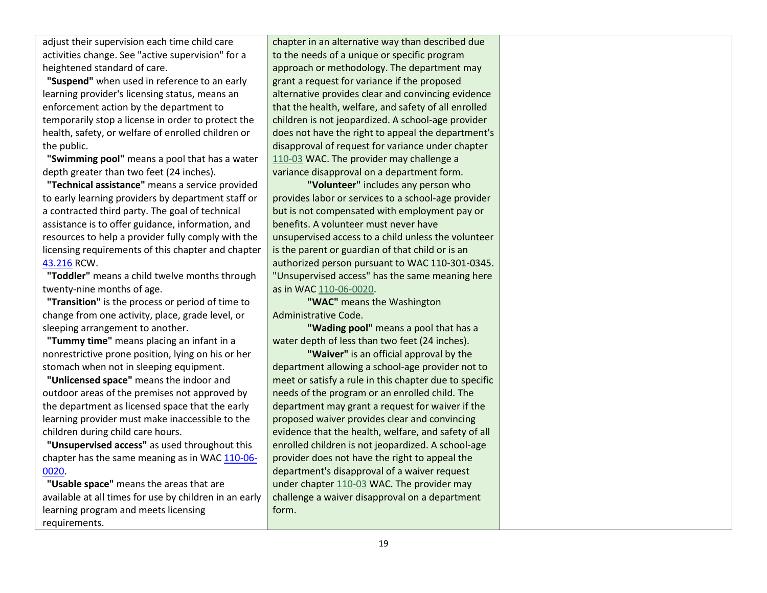adjust their supervision each time child care activities change. See "active supervision" for a heightened standard of care.

**"Suspend"** when used in reference to an early learning provider's licensing status, means an enforcement action by the department to temporarily stop a license in order to protect the health, safety, or welfare of enrolled children or the public.

**"Swimming pool"** means a pool that has a water depth greater than two feet (24 inches).

**"Technical assistance"** means a service provided to early learning providers by department staff or a contracted third party. The goal of technical assistance is to offer guidance, information, and resources to help a provider fully comply with the licensing requirements of this chapter and chapter [43.216](http://app.leg.wa.gov/RCW/default.aspx?cite=43.216) RCW.

**"Toddler"** means a child twelve months through twenty-nine months of age.

**"Transition"** is the process or period of time to change from one activity, place, grade level, or sleeping arrangement to another.

**"Tummy time"** means placing an infant in a nonrestrictive prone position, lying on his or her stomach when not in sleeping equipment.

**"Unlicensed space"** means the indoor and outdoor areas of the premises not approved by the department as licensed space that the early learning provider must make inaccessible to the children during child care hours.

**"Unsupervised access"** as used throughout this chapter has the same meaning as in WAC [110-06-](https://apps.leg.wa.gov/wac/default.aspx?cite=110-06-0020) [0020.](https://apps.leg.wa.gov/wac/default.aspx?cite=110-06-0020)

**"Usable space"** means the areas that are available at all times for use by children in an early learning program and meets licensing requirements.

chapter in an alternative way than described due to the needs of a unique or specific program approach or methodology. The department may grant a request for variance if the proposed alternative provides clear and convincing evidence that the health, welfare, and safety of all enrolled children is not jeopardized. A school-age provider does not have the right to appeal the department's disapproval of request for variance under chapter [110-03](https://app.leg.wa.gov/wac/default.aspx?cite=110-03) WAC. The provider may challenge a variance disapproval on a department form.

**"Volunteer"** includes any person who provides labor or services to a school-age provider but is not compensated with employment pay or benefits. A volunteer must never have unsupervised access to a child unless the volunteer is the parent or guardian of that child or is an authorized person pursuant to WAC 110-301-0345. "Unsupervised access" has the same meaning here as in WA[C 110-06-0020.](https://app.leg.wa.gov/wac/default.aspx?cite=110-06-0020)

**"WAC"** means the Washington Administrative Code.

**"Wading pool"** means a pool that has a water depth of less than two feet (24 inches).

**"Waiver"** is an official approval by the department allowing a school-age provider not to meet or satisfy a rule in this chapter due to specific needs of the program or an enrolled child. The department may grant a request for waiver if the proposed waiver provides clear and convincing evidence that the health, welfare, and safety of all enrolled children is not jeopardized. A school-age provider does not have the right to appeal the department's disapproval of a waiver request under chapte[r 110-03](https://app.leg.wa.gov/wac/default.aspx?cite=110-03) WAC. The provider may challenge a waiver disapproval on a department form.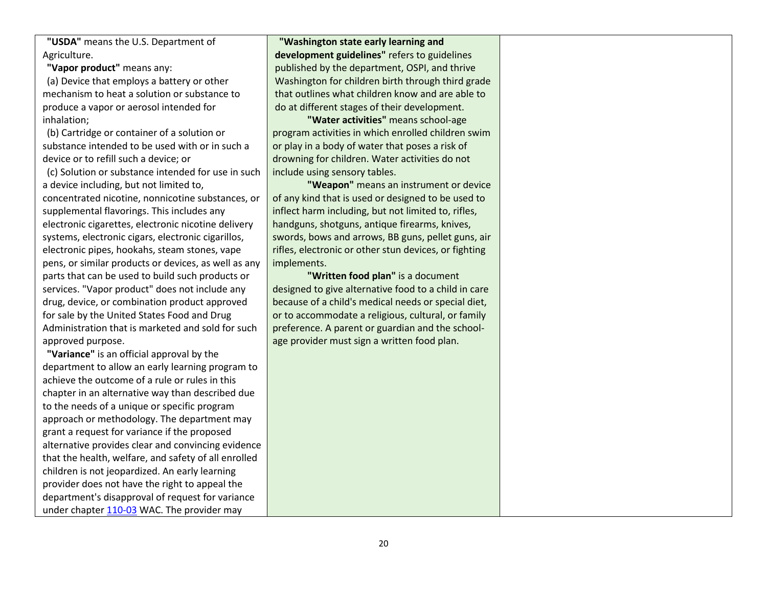**"USDA"** means the U.S. Department of Agriculture.

**"Vapor product"** means any:

(a) Device that employs a battery or other mechanism to heat a solution or substance to produce a vapor or aerosol intended for inhalation;

(b) Cartridge or container of a solution or substance intended to be used with or in such a device or to refill such a device; or

(c) Solution or substance intended for use in such a device including, but not limited to, concentrated nicotine, nonnicotine substances, or supplemental flavorings. This includes any electronic cigarettes, electronic nicotine delivery systems, electronic cigars, electronic cigarillos, electronic pipes, hookahs, steam stones, vape pens, or similar products or devices, as well as any parts that can be used to build such products or services. "Vapor product" does not include any drug, device, or combination product approved for sale by the United States Food and Drug Administration that is marketed and sold for such approved purpose.

**"Variance"** is an official approval by the department to allow an early learning program to achieve the outcome of a rule or rules in this chapter in an alternative way than described due to the needs of a unique or specific program approach or methodology. The department may grant a request for variance if the proposed alternative provides clear and convincing evidence that the health, welfare, and safety of all enrolled children is not jeopardized. An early learning provider does not have the right to appeal the department's disapproval of request for variance under chapter [110-03](https://apps.leg.wa.gov/wac/default.aspx?cite=110-03) WAC. The provider may

**"Washington state early learning and development guidelines"** refers to guidelines published by the department, OSPI, and thrive Washington for children birth through third grade that outlines what children know and are able to do at different stages of their development.

**"Water activities"** means school-age program activities in which enrolled children swim or play in a body of water that poses a risk of drowning for children. Water activities do not include using sensory tables.

**"Weapon"** means an instrument or device of any kind that is used or designed to be used to inflect harm including, but not limited to, rifles, handguns, shotguns, antique firearms, knives, swords, bows and arrows, BB guns, pellet guns, air rifles, electronic or other stun devices, or fighting implements.

**"Written food plan"** is a document designed to give alternative food to a child in care because of a child's medical needs or special diet, or to accommodate a religious, cultural, or family preference. A parent or guardian and the schoolage provider must sign a written food plan.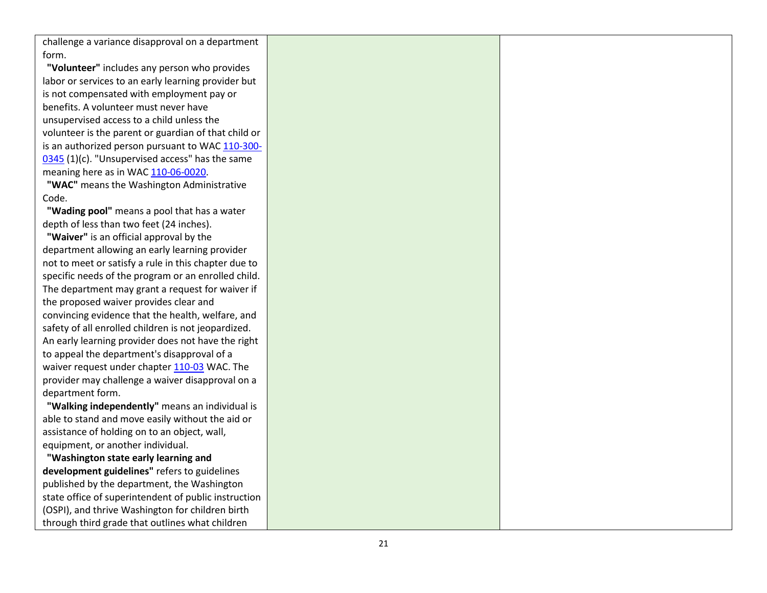challenge a variance disapproval on a department form.

**"Volunteer"** includes any person who provides labor or services to an early learning provider but is not compensated with employment pay or benefits. A volunteer must never have unsupervised access to a child unless the volunteer is the parent or guardian of that child or is an authorized person pursuant to WAC 110[-300](https://apps.leg.wa.gov/wac/default.aspx?cite=110-300-0345)-[0345](https://apps.leg.wa.gov/wac/default.aspx?cite=110-300-0345) (1)(c). "Unsupervised access" has the same meaning here as in WAC 110-06[-0020](https://apps.leg.wa.gov/wac/default.aspx?cite=110-06-0020).

**"WAC"** means the Washington Administrative Code.

**"Wading pool"** means a pool that has a water depth of less than two feet (24 inches).

**"Waiver"** is an official approval by the department allowing an early learning provider not to meet or satisfy a rule in this chapter due to specific needs of the program or an enrolled child. The department may grant a request for waiver if the proposed waiver provides clear and convincing evidence that the health, welfare, and safety of all enrolled children is not jeopardized. An early learning provider does not have the right to appeal the department's disapproval of a waiver request under chapter [110](https://apps.leg.wa.gov/wac/default.aspx?cite=110-03)-03 WAC. The provider may challenge a waiver disapproval on a department form.

**"Walking independently"** means an individual is able to stand and move easily without the aid or assistance of holding on to an object, wall, equipment, or another individual.

**"Washington state early learning and development guidelines"** refers to guidelines published by the department, the Washington state office of superintendent of public instruction (OSPI), and thrive Washington for children birth through third grade that outlines what children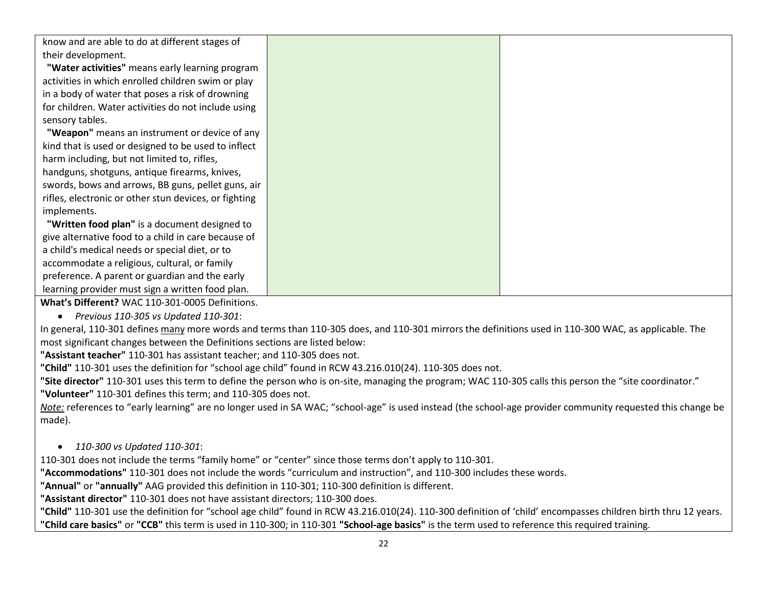know and are able to do at different stages of their development.

**"Water activities"** means early learning program activities in which enrolled children swim or play in a body of water that poses a risk of drowning for children. Water activities do not include using sensory tables.

**"Weapon"** means an instrument or device of any kind that is used or designed to be used to inflect harm including, but not limited to, rifles,

handguns, shotguns, antique firearms, knives, swords, bows and arrows, BB guns, pellet guns, air rifles, electronic or other stun devices, or fighting implements.

**"Written food plan"** is a document designed to give alternative food to a child in care because of a child's medical needs or special diet, or to accommodate a religious, cultural, or family preference. A parent or guardian and the early learning provider must sign a written food plan.

**What's Different?** WAC 110-301-0005 Definitions.

*Previous 110-305 vs Updated 110-301*:

In general, 110-301 defines many more words and terms than 110-305 does, and 110-301 mirrors the definitions used in 110-300 WAC, as applicable. The most significant changes between the Definitions sections are listed below:

**"Assistant teacher"** 110-301 has assistant teacher; and 110-305 does not.

**"Child"** 110-301 uses the definition for "school age child" found in RCW 43.216.010(24). 110-305 does not.

**"Site director"** 110-301 uses this term to define the person who is on-site, managing the program; WAC 110-305 calls this person the "site coordinator." **"Volunteer"** 110-301 defines this term; and 110-305 does not.

*Note:* references to "early learning" are no longer used in SA WAC; "school-age" is used instead (the school-age provider community requested this change be made).

*110-300 vs Updated 110-301*:

110-301 does not include the terms "family home" or "center" since those terms don't apply to 110-301.

**"Accommodations"** 110-301 does not include the words "curriculum and instruction", and 110-300 includes these words.

**"Annual"** or **"annually"** AAG provided this definition in 110-301; 110-300 definition is different.

**"Assistant director"** 110-301 does not have assistant directors; 110-300 does.

**"Child"** 110-301 use the definition for "school age child" found in RCW 43.216.010(24). 110-300 definition of 'child' encompasses children birth thru 12 years. **"Child care basics"** or **"CCB"** this term is used in 110-300; in 110-301 **"School-age basics"** is the term used to reference this required training.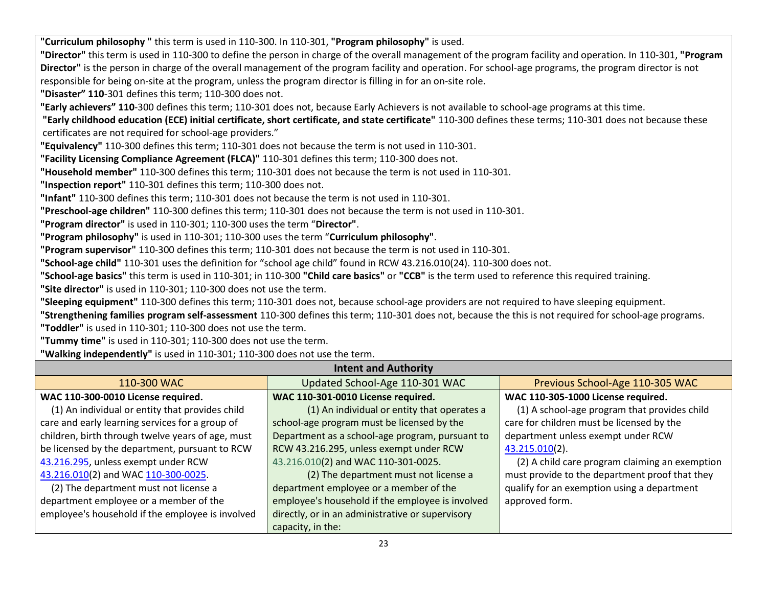**"Curriculum philosophy "** this term is used in 110-300. In 110-301, **"Program philosophy"** is used. **"Director"** this term is used in 110-300 to define the person in charge of the overall management of the program facility and operation. In 110-301, **"Program Director"** is the person in charge of the overall management of the program facility and operation. For school-age programs, the program director is not responsible for being on-site at the program, unless the program director is filling in for an on-site role. **"Disaster" 110**-301 defines this term; 110-300 does not. **"Early achievers" 110**-300 defines this term; 110-301 does not, because Early Achievers is not available to school-age programs at this time. **"Early childhood education (ECE) initial certificate, short certificate, and state certificate"** 110-300 defines these terms; 110-301 does not because these certificates are not required for school-age providers." **"Equivalency"** 110-300 defines this term; 110-301 does not because the term is not used in 110-301. **"Facility Licensing Compliance Agreement (FLCA)"** 110-301 defines this term; 110-300 does not. **"Household member"** 110-300 defines this term; 110-301 does not because the term is not used in 110-301. **"Inspection report"** 110-301 defines this term; 110-300 does not. **"Infant"** 110-300 defines this term; 110-301 does not because the term is not used in 110-301. **"Preschool-age children"** 110-300 defines this term; 110-301 does not because the term is not used in 110-301. **"Program director"** is used in 110-301; 110-300 uses the term "**Director"**. **"Program philosophy"** is used in 110-301; 110-300 uses the term "**Curriculum philosophy"**. **"Program supervisor"** 110-300 defines this term; 110-301 does not because the term is not used in 110-301. **"School-age child"** 110-301 uses the definition for "school age child" found in RCW 43.216.010(24). 110-300 does not. **"School-age basics"** this term is used in 110-301; in 110-300 **"Child care basics"** or **"CCB"** is the term used to reference this required training. **"Site director"** is used in 110-301; 110-300 does not use the term. **"Sleeping equipment"** 110-300 defines this term; 110-301 does not, because school-age providers are not required to have sleeping equipment.

**"Strengthening families program self-assessment** 110-300 defines this term; 110-301 does not, because the this is not required for school-age programs. **"Toddler"** is used in 110-301; 110-300 does not use the term.

**"Tummy time"** is used in 110-301; 110-300 does not use the term.

**"Walking independently"** is used in 110-301; 110-300 does not use the term.

| <b>Intent and Authority</b>                                                      |                                                  |                                                |  |
|----------------------------------------------------------------------------------|--------------------------------------------------|------------------------------------------------|--|
| Updated School-Age 110-301 WAC<br>Previous School-Age 110-305 WAC<br>110-300 WAC |                                                  |                                                |  |
| WAC 110-300-0010 License required.                                               | WAC 110-301-0010 License required.               | WAC 110-305-1000 License required.             |  |
| (1) An individual or entity that provides child                                  | (1) An individual or entity that operates a      | (1) A school-age program that provides child   |  |
| care and early learning services for a group of                                  | school-age program must be licensed by the       | care for children must be licensed by the      |  |
| children, birth through twelve years of age, must                                | Department as a school-age program, pursuant to  | department unless exempt under RCW             |  |
| be licensed by the department, pursuant to RCW                                   | RCW 43.216.295, unless exempt under RCW          | 43.215.010(2).                                 |  |
| 43.216.295, unless exempt under RCW                                              | 43.216.010(2) and WAC 110-301-0025.              | (2) A child care program claiming an exemption |  |
| 43.216.010(2) and WAC 110-300-0025.                                              | (2) The department must not license a            | must provide to the department proof that they |  |
| (2) The department must not license a                                            | department employee or a member of the           | qualify for an exemption using a department    |  |
| department employee or a member of the                                           | employee's household if the employee is involved | approved form.                                 |  |
| employee's household if the employee is involved                                 | directly, or in an administrative or supervisory |                                                |  |
|                                                                                  | capacity, in the:                                |                                                |  |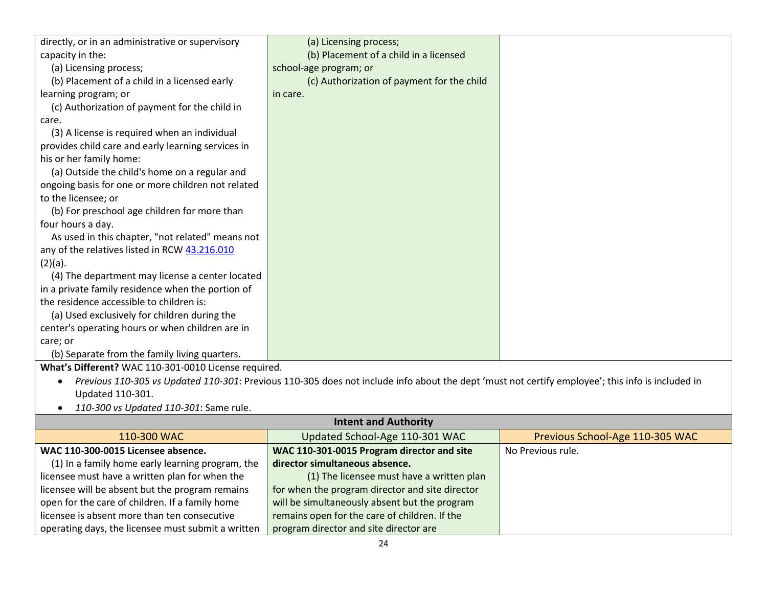| directly, or in an administrative or supervisory     | (a) Licensing process;                                                                                                                           |                                 |
|------------------------------------------------------|--------------------------------------------------------------------------------------------------------------------------------------------------|---------------------------------|
| capacity in the:                                     | (b) Placement of a child in a licensed                                                                                                           |                                 |
| (a) Licensing process;                               | school-age program; or                                                                                                                           |                                 |
| (b) Placement of a child in a licensed early         | (c) Authorization of payment for the child                                                                                                       |                                 |
| learning program; or                                 | in care.                                                                                                                                         |                                 |
| (c) Authorization of payment for the child in        |                                                                                                                                                  |                                 |
| care.                                                |                                                                                                                                                  |                                 |
| (3) A license is required when an individual         |                                                                                                                                                  |                                 |
| provides child care and early learning services in   |                                                                                                                                                  |                                 |
| his or her family home:                              |                                                                                                                                                  |                                 |
| (a) Outside the child's home on a regular and        |                                                                                                                                                  |                                 |
| ongoing basis for one or more children not related   |                                                                                                                                                  |                                 |
| to the licensee; or                                  |                                                                                                                                                  |                                 |
| (b) For preschool age children for more than         |                                                                                                                                                  |                                 |
| four hours a day.                                    |                                                                                                                                                  |                                 |
| As used in this chapter, "not related" means not     |                                                                                                                                                  |                                 |
| any of the relatives listed in RCW 43.216.010        |                                                                                                                                                  |                                 |
| $(2)(a)$ .                                           |                                                                                                                                                  |                                 |
| (4) The department may license a center located      |                                                                                                                                                  |                                 |
| in a private family residence when the portion of    |                                                                                                                                                  |                                 |
| the residence accessible to children is:             |                                                                                                                                                  |                                 |
| (a) Used exclusively for children during the         |                                                                                                                                                  |                                 |
| center's operating hours or when children are in     |                                                                                                                                                  |                                 |
| care; or                                             |                                                                                                                                                  |                                 |
| (b) Separate from the family living quarters.        |                                                                                                                                                  |                                 |
| What's Different? WAC 110-301-0010 License required. |                                                                                                                                                  |                                 |
|                                                      | Previous 110-305 vs Updated 110-301: Previous 110-305 does not include info about the dept 'must not certify employee'; this info is included in |                                 |
| Updated 110-301.                                     |                                                                                                                                                  |                                 |
| 110-300 vs Updated 110-301: Same rule.               |                                                                                                                                                  |                                 |
| <b>Intent and Authority</b>                          |                                                                                                                                                  |                                 |
| 110-300 WAC                                          | Updated School-Age 110-301 WAC                                                                                                                   | Previous School-Age 110-305 WAC |
| WAC 110-300-0015 Licensee absence.                   | WAC 110-301-0015 Program director and site                                                                                                       | No Previous rule.               |
| (1) In a family home early learning program, the     | director simultaneous absence.                                                                                                                   |                                 |
| licensee must have a written plan for when the       | (1) The licensee must have a written plan                                                                                                        |                                 |
| licensee will be absent but the program remains      | for when the program director and site director                                                                                                  |                                 |
| open for the care of children. If a family home      | will be simultaneously absent but the program                                                                                                    |                                 |
| licensee is absent more than ten consecutive         | remains open for the care of children. If the                                                                                                    |                                 |
| operating days, the licensee must submit a written   | program director and site director are                                                                                                           |                                 |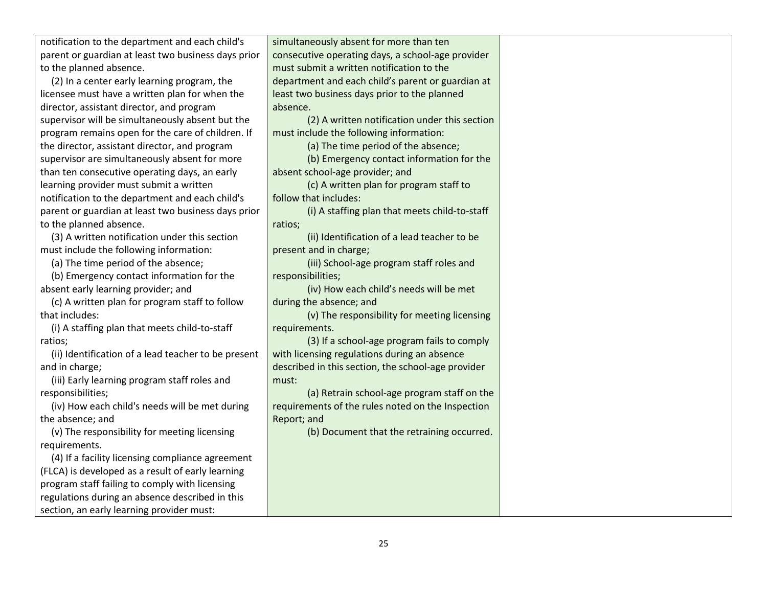| notification to the department and each child's     | simultan  |
|-----------------------------------------------------|-----------|
| parent or guardian at least two business days prior | consecut  |
| to the planned absence.                             | must sub  |
| (2) In a center early learning program, the         | departm   |
| licanses must have a written plan for when the      | loast two |

licensee must have a written plan for when the director, assistant director, and program supervisor will be simultaneously absent but the program remains open for the care of children. If the director, assistant director, and program supervisor are simultaneously absent for more than ten consecutive operating days, an early learning provider must submit a written notification to the department and each child's parent or guardian at least two business days prior to the planned absence.

(3) A written notification under this section must include the following information:

(a) The time period of the absence;

(b) Emergency contact information for the absent early learning provider; and

(c) A written plan for program staff to follow that includes:

(i) A staffing plan that meets child-to-staff ratios;

(ii) Identification of a lead teacher to be present and in charge;

(iii) Early learning program staff roles and responsibilities;

(iv) How each child's needs will be met during the absence; and

(v) The responsibility for meeting licensing requirements.

(4) If a facility licensing compliance agreement (FLCA) is developed as a result of early learning program staff failing to comply with licensing regulations during an absence described in this section, an early learning provider must:

eously absent for more than ten ive operating days, a school-age provider mit a written notification to the ent and each child's parent or guardian at least two business days prior to the planned absence.

(2) A written notification under this section must include the following information:

(a) The time period of the absence;

(b) Emergency contact information for the absent school-age provider; and

(c) A written plan for program staff to follow that includes:

(i) A staffing plan that meets child-to-staff ratios;

(ii) Identification of a lead teacher to be present and in charge;

(iii) School-age program staff roles and responsibilities;

(iv) How each child's needs will be met during the absence; and

(v) The responsibility for meeting licensing requirements.

(3) If a school-age program fails to comply with licensing regulations during an absence described in this section, the school-age provider must:

(a) Retrain school-age program staff on the requirements of the rules noted on the Inspection Report; and

(b) Document that the retraining occurred.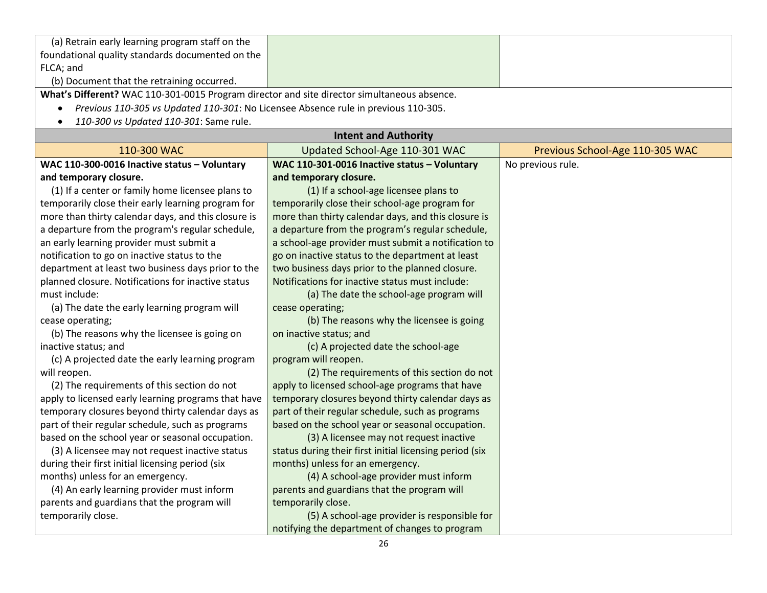| (a) Retrain early learning program staff on the                                             |                                                         |                                 |
|---------------------------------------------------------------------------------------------|---------------------------------------------------------|---------------------------------|
| foundational quality standards documented on the                                            |                                                         |                                 |
| FLCA; and                                                                                   |                                                         |                                 |
| (b) Document that the retraining occurred.                                                  |                                                         |                                 |
| What's Different? WAC 110-301-0015 Program director and site director simultaneous absence. |                                                         |                                 |
| Previous 110-305 vs Updated 110-301: No Licensee Absence rule in previous 110-305.          |                                                         |                                 |
| 110-300 vs Updated 110-301: Same rule.                                                      |                                                         |                                 |
|                                                                                             | <b>Intent and Authority</b>                             |                                 |
| 110-300 WAC                                                                                 | Updated School-Age 110-301 WAC                          | Previous School-Age 110-305 WAC |
| WAC 110-300-0016 Inactive status - Voluntary                                                | WAC 110-301-0016 Inactive status - Voluntary            | No previous rule.               |
| and temporary closure.                                                                      | and temporary closure.                                  |                                 |
| (1) If a center or family home licensee plans to                                            | (1) If a school-age licensee plans to                   |                                 |
| temporarily close their early learning program for                                          | temporarily close their school-age program for          |                                 |
| more than thirty calendar days, and this closure is                                         | more than thirty calendar days, and this closure is     |                                 |
| a departure from the program's regular schedule,                                            | a departure from the program's regular schedule,        |                                 |
| an early learning provider must submit a                                                    | a school-age provider must submit a notification to     |                                 |
| notification to go on inactive status to the                                                | go on inactive status to the department at least        |                                 |
| department at least two business days prior to the                                          | two business days prior to the planned closure.         |                                 |
| planned closure. Notifications for inactive status                                          | Notifications for inactive status must include:         |                                 |
| must include:                                                                               | (a) The date the school-age program will                |                                 |
| (a) The date the early learning program will                                                | cease operating;                                        |                                 |
| cease operating;                                                                            | (b) The reasons why the licensee is going               |                                 |
| (b) The reasons why the licensee is going on                                                | on inactive status; and                                 |                                 |
| inactive status; and                                                                        | (c) A projected date the school-age                     |                                 |
| (c) A projected date the early learning program                                             | program will reopen.                                    |                                 |
| will reopen.                                                                                | (2) The requirements of this section do not             |                                 |
| (2) The requirements of this section do not                                                 | apply to licensed school-age programs that have         |                                 |
| apply to licensed early learning programs that have                                         | temporary closures beyond thirty calendar days as       |                                 |
| temporary closures beyond thirty calendar days as                                           | part of their regular schedule, such as programs        |                                 |
| part of their regular schedule, such as programs                                            | based on the school year or seasonal occupation.        |                                 |
| based on the school year or seasonal occupation.                                            | (3) A licensee may not request inactive                 |                                 |
| (3) A licensee may not request inactive status                                              | status during their first initial licensing period (six |                                 |
| during their first initial licensing period (six                                            | months) unless for an emergency.                        |                                 |
| months) unless for an emergency.                                                            | (4) A school-age provider must inform                   |                                 |
| (4) An early learning provider must inform                                                  | parents and guardians that the program will             |                                 |
| parents and guardians that the program will                                                 | temporarily close.                                      |                                 |
| temporarily close.                                                                          | (5) A school-age provider is responsible for            |                                 |
|                                                                                             | notifying the department of changes to program          |                                 |
|                                                                                             |                                                         |                                 |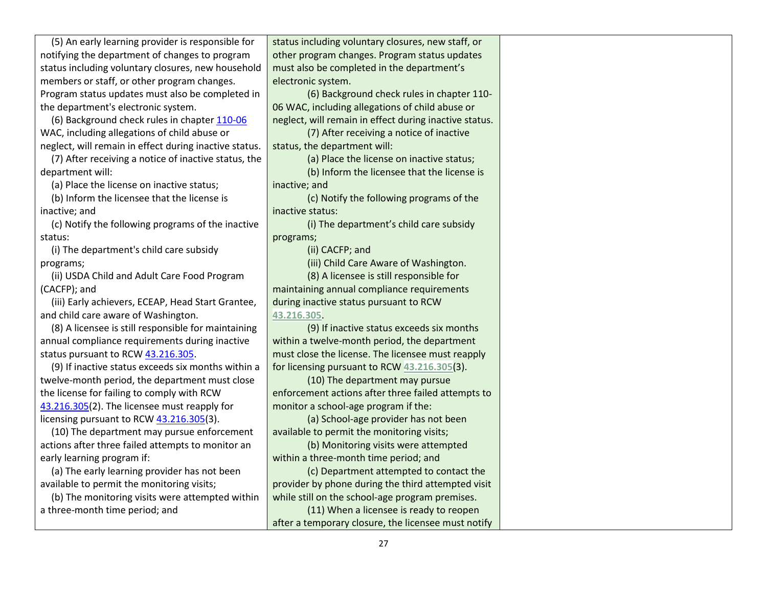(5) An early learning provider is responsible for notifying the department of changes to program status including voluntary closures, new household members or staff, or other program changes. Program status updates must also be completed in the department's electronic system.

(6) Background check rules in chapte[r 110-06](https://apps.leg.wa.gov/wac/default.aspx?cite=110-06) WAC, including allegations of child abuse or neglect, will remain in effect during inactive status.

(7) After receiving a notice of inactive status, the department will:

(a) Place the license on inactive status;

(b) Inform the licensee that the license is inactive; and

(c) Notify the following programs of the inactive status:

(i) The department's child care subsidy programs;

(ii) USDA Child and Adult Care Food Program (CACFP); and

(iii) Early achievers, ECEAP, Head Start Grantee, and child care aware of Washington.

(8) A licensee is still responsible for maintaining annual compliance requirements during inactive status pursuant to RCW [43.216.305.](http://app.leg.wa.gov/RCW/default.aspx?cite=43.216.305)

(9) If inactive status exceeds six months within a twelve-month period, the department must close the license for failing to comply with RCW [43.216.305\(](http://app.leg.wa.gov/RCW/default.aspx?cite=43.216.305)2). The licensee must reapply for licensing pursuant to RC[W 43.216.305\(](http://app.leg.wa.gov/RCW/default.aspx?cite=43.216.305)3).

(10) The department may pursue enforcement actions after three failed attempts to monitor an early learning program if:

(a) The early learning provider has not been available to permit the monitoring visits;

(b) The monitoring visits were attempted within a three-month time period; and

status including voluntary closures, new staff, or other program changes. Program status updates must also be completed in the department's electronic system.

(6) Background check rules in chapter 110- 06 WAC, including allegations of child abuse or neglect, will remain in effect during inactive status.

(7) After receiving a notice of inactive status, the department will:

(a) Place the license on inactive status;

(b) Inform the licensee that the license is inactive; and

(c) Notify the following programs of the inactive status:

(i) The department's child care subsidy programs;

(ii) CACFP; and

(iii) Child Care Aware of Washington.

(8) A licensee is still responsible for maintaining annual compliance requirements during inactive status pursuant to RCW **[43.216.305](http://app.leg.wa.gov/RCW/default.aspx?cite=43.216.305)**.

(9) If inactive status exceeds six months within a twelve-month period, the department must close the license. The licensee must reapply for licensing pursuant to RCW **[43.216.305](http://app.leg.wa.gov/RCW/default.aspx?cite=43.216.305)**(3).

(10) The department may pursue enforcement actions after three failed attempts to monitor a school-age program if the:

(a) School-age provider has not been available to permit the monitoring visits;

(b) Monitoring visits were attempted within a three-month time period; and

(c) Department attempted to contact the provider by phone during the third attempted visit while still on the school-age program premises.

(11) When a licensee is ready to reopen after a temporary closure, the licensee must notify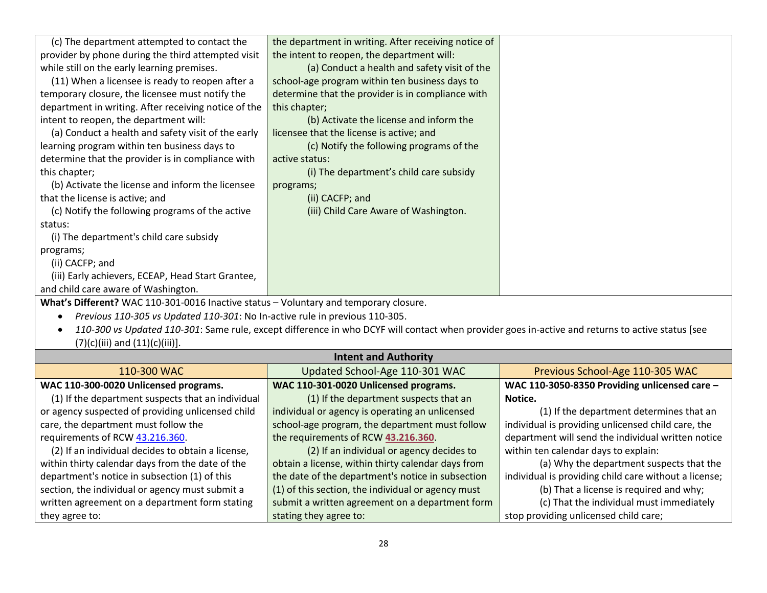| (c) The department attempted to contact the<br>provider by phone during the third attempted visit<br>while still on the early learning premises.<br>(11) When a licensee is ready to reopen after a<br>temporary closure, the licensee must notify the<br>department in writing. After receiving notice of the<br>intent to reopen, the department will:<br>(a) Conduct a health and safety visit of the early<br>learning program within ten business days to<br>determine that the provider is in compliance with<br>this chapter;<br>(b) Activate the license and inform the licensee<br>that the license is active; and<br>(c) Notify the following programs of the active<br>status:<br>(i) The department's child care subsidy<br>programs;<br>(ii) CACFP; and<br>(iii) Early achievers, ECEAP, Head Start Grantee, | the department in writing. After receiving notice of<br>the intent to reopen, the department will:<br>(a) Conduct a health and safety visit of the<br>school-age program within ten business days to<br>determine that the provider is in compliance with<br>this chapter;<br>(b) Activate the license and inform the<br>licensee that the license is active; and<br>(c) Notify the following programs of the<br>active status:<br>(i) The department's child care subsidy<br>programs;<br>(ii) CACFP; and<br>(iii) Child Care Aware of Washington. |                                                    |
|---------------------------------------------------------------------------------------------------------------------------------------------------------------------------------------------------------------------------------------------------------------------------------------------------------------------------------------------------------------------------------------------------------------------------------------------------------------------------------------------------------------------------------------------------------------------------------------------------------------------------------------------------------------------------------------------------------------------------------------------------------------------------------------------------------------------------|-----------------------------------------------------------------------------------------------------------------------------------------------------------------------------------------------------------------------------------------------------------------------------------------------------------------------------------------------------------------------------------------------------------------------------------------------------------------------------------------------------------------------------------------------------|----------------------------------------------------|
| and child care aware of Washington.                                                                                                                                                                                                                                                                                                                                                                                                                                                                                                                                                                                                                                                                                                                                                                                       |                                                                                                                                                                                                                                                                                                                                                                                                                                                                                                                                                     |                                                    |
| What's Different? WAC 110-301-0016 Inactive status - Voluntary and temporary closure.<br>Previous 110-305 vs Updated 110-301: No In-active rule in previous 110-305.<br>110-300 vs Updated 110-301: Same rule, except difference in who DCYF will contact when provider goes in-active and returns to active status [see<br>$(7)(c)(iii)$ and $(11)(c)(iii)$ ].                                                                                                                                                                                                                                                                                                                                                                                                                                                           |                                                                                                                                                                                                                                                                                                                                                                                                                                                                                                                                                     |                                                    |
| <b>Intent and Authority</b>                                                                                                                                                                                                                                                                                                                                                                                                                                                                                                                                                                                                                                                                                                                                                                                               |                                                                                                                                                                                                                                                                                                                                                                                                                                                                                                                                                     |                                                    |
| 110-300 WAC                                                                                                                                                                                                                                                                                                                                                                                                                                                                                                                                                                                                                                                                                                                                                                                                               | Updated School-Age 110-301 WAC                                                                                                                                                                                                                                                                                                                                                                                                                                                                                                                      | Previous School-Age 110-305 WAC                    |
| WAC 110-300-0020 Unlicensed programs.                                                                                                                                                                                                                                                                                                                                                                                                                                                                                                                                                                                                                                                                                                                                                                                     | WAC 110-301-0020 Unlicensed programs.                                                                                                                                                                                                                                                                                                                                                                                                                                                                                                               | WAC 110-3050-8350 Providing unlicensed care -      |
| (1) If the department suspects that an individual                                                                                                                                                                                                                                                                                                                                                                                                                                                                                                                                                                                                                                                                                                                                                                         | (1) If the department suspects that an                                                                                                                                                                                                                                                                                                                                                                                                                                                                                                              | Notice.                                            |
| or agency suspected of providing unlicensed child                                                                                                                                                                                                                                                                                                                                                                                                                                                                                                                                                                                                                                                                                                                                                                         | individual or agency is operating an unlicensed                                                                                                                                                                                                                                                                                                                                                                                                                                                                                                     | (1) If the department determines that an           |
| care, the department must follow the                                                                                                                                                                                                                                                                                                                                                                                                                                                                                                                                                                                                                                                                                                                                                                                      | school-age program, the department must follow                                                                                                                                                                                                                                                                                                                                                                                                                                                                                                      | individual is providing unlicensed child care, the |
| requirements of RCW 43.216.360.                                                                                                                                                                                                                                                                                                                                                                                                                                                                                                                                                                                                                                                                                                                                                                                           | the requirements of RCW 43.216.360.                                                                                                                                                                                                                                                                                                                                                                                                                                                                                                                 | department will send the individual written notice |

(2) If an individual decides to obtain a license, within thirty calendar days from the date of the department's notice in subsection (1) of this section, the individual or agency must submit a written agreement on a department form stating they agree to: (2) If an individual or agency decides to obtain a license, within thirty calendar days from the date of the department's notice in subsection (1) of this section, the individual or agency must submit a written agreement on a department form stating they agree to:

within ten calendar days to explain:

stop providing unlicensed child care;

(a) Why the department suspects that the

individual is providing child care without a license; (b) That a license is required and why; (c) That the individual must immediately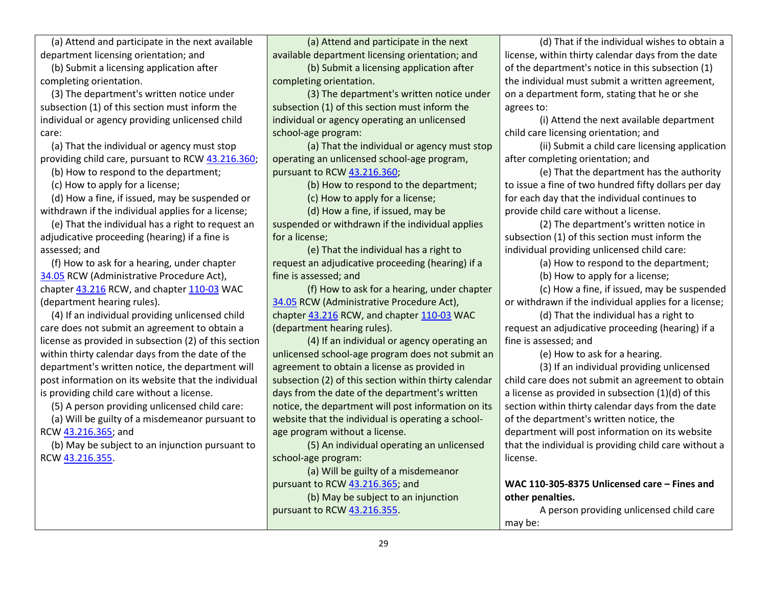(a) Attend and participate in the next available department licensing orientation; and

(b) Submit a licensing application after completing orientation.

(3) The department's written notice under subsection (1) of this section must inform the individual or agency providing unlicensed child care:

(a) That the individual or agency must stop providing child care, pursuant to RCW [43.216.360;](http://app.leg.wa.gov/RCW/default.aspx?cite=43.216.360)

(b) How to respond to the department;

(c) How to apply for a license;

(d) How a fine, if issued, may be suspended or withdrawn if the individual applies for a license;

(e) That the individual has a right to request an adjudicative proceeding (hearing) if a fine is assessed; and

(f) How to ask for a hearing, under chapter [34.05](http://app.leg.wa.gov/RCW/default.aspx?cite=34.05) RCW (Administrative Procedure Act), chapte[r 43.216](http://app.leg.wa.gov/RCW/default.aspx?cite=43.216) RCW, and chapter [110-03](https://apps.leg.wa.gov/wac/default.aspx?cite=110-03) WAC (department hearing rules).

(4) If an individual providing unlicensed child care does not submit an agreement to obtain a license as provided in subsection (2) of this section within thirty calendar days from the date of the department's written notice, the department will post information on its website that the individual is providing child care without a license.

(5) A person providing unlicensed child care:

(a) Will be guilty of a misdemeanor pursuant to RCW [43.216.365;](http://app.leg.wa.gov/RCW/default.aspx?cite=43.216.365) and

(b) May be subject to an injunction pursuant to RCW [43.216.355.](http://app.leg.wa.gov/RCW/default.aspx?cite=43.216.355)

(a) Attend and participate in the next available department licensing orientation; and

(b) Submit a licensing application after completing orientation.

(3) The department's written notice under subsection (1) of this section must inform the individual or agency operating an unlicensed school-age program:

(a) That the individual or agency must stop operating an unlicensed school-age program, pursuant to RCW [43.216.360;](http://app.leg.wa.gov/RCW/default.aspx?cite=43.216.360)

(b) How to respond to the department;

(c) How to apply for a license;

(d) How a fine, if issued, may be suspended or withdrawn if the individual applies for a license;

(e) That the individual has a right to request an adjudicative proceeding (hearing) if a fine is assessed; and

(f) How to ask for a hearing, under chapter [34.05](http://app.leg.wa.gov/RCW/default.aspx?cite=34.05) RCW (Administrative Procedure Act), chapte[r 43.216](http://app.leg.wa.gov/RCW/default.aspx?cite=43.216) RCW, and chapte[r 110-03](https://apps.leg.wa.gov/wac/default.aspx?cite=110-03) WAC (department hearing rules).

(4) If an individual or agency operating an unlicensed school-age program does not submit an agreement to obtain a license as provided in subsection (2) of this section within thirty calendar days from the date of the department's written notice, the department will post information on its website that the individual is operating a schoolage program without a license.

(5) An individual operating an unlicensed school-age program:

(a) Will be guilty of a misdemeanor pursuant to RCW [43.216.365;](http://app.leg.wa.gov/RCW/default.aspx?cite=43.216.365) and

(b) May be subject to an injunction pursuant to RCW [43.216.355.](http://app.leg.wa.gov/RCW/default.aspx?cite=43.216.355)

(d) That if the individual wishes to obtain a license, within thirty calendar days from the date of the department's notice in this subsection (1) the individual must submit a written agreement, on a department form, stating that he or she agrees to:

(i) Attend the next available department child care licensing orientation; and

(ii) Submit a child care licensing application after completing orientation; and

(e) That the department has the authority to issue a fine of two hundred fifty dollars per day for each day that the individual continues to provide child care without a license.

(2) The department's written notice in subsection (1) of this section must inform the individual providing unlicensed child care:

(a) How to respond to the department;

(b) How to apply for a license;

(c) How a fine, if issued, may be suspended or withdrawn if the individual applies for a license;

(d) That the individual has a right to request an adjudicative proceeding (hearing) if a fine is assessed; and

(e) How to ask for a hearing.

(3) If an individual providing unlicensed child care does not submit an agreement to obtain a license as provided in subsection (1)(d) of this section within thirty calendar days from the date of the department's written notice, the department will post information on its website that the individual is providing child care without a license.

**WAC 110-305-8375 Unlicensed care – Fines and other penalties.** 

A person providing unlicensed child care may be: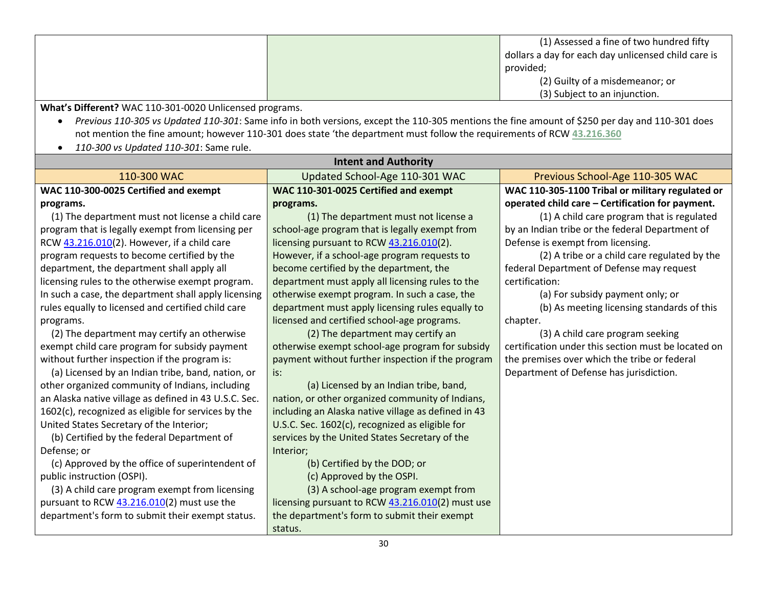|  | (1) Assessed a fine of two hundred fifty            |
|--|-----------------------------------------------------|
|  | dollars a day for each day unlicensed child care is |
|  | provided;                                           |
|  | (2) Guilty of a misdemeanor; or                     |
|  | (3) Subject to an injunction.                       |

**What's Different?** WAC 110-301-0020 Unlicensed programs.

- *Previous 110-305 vs Updated 110-301*: Same info in both versions, except the 110-305 mentions the fine amount of \$250 per day and 110-301 does not mention the fine amount; however 110-301 does state 'the department must follow the requirements of RCW **[43.216.360](http://app.leg.wa.gov/RCW/default.aspx?cite=43.216.360)**
- *110-300 vs Updated 110-301*: Same rule.

| <b>Intent and Authority</b>                                                      |                                                     |                                                     |
|----------------------------------------------------------------------------------|-----------------------------------------------------|-----------------------------------------------------|
| 110-300 WAC<br>Updated School-Age 110-301 WAC<br>Previous School-Age 110-305 WAC |                                                     |                                                     |
| WAC 110-300-0025 Certified and exempt                                            | WAC 110-301-0025 Certified and exempt               | WAC 110-305-1100 Tribal or military regulated or    |
| programs.                                                                        | programs.                                           | operated child care - Certification for payment.    |
| (1) The department must not license a child care                                 | (1) The department must not license a               | (1) A child care program that is regulated          |
| program that is legally exempt from licensing per                                | school-age program that is legally exempt from      | by an Indian tribe or the federal Department of     |
| RCW 43.216.010(2). However, if a child care                                      | licensing pursuant to RCW 43.216.010(2).            | Defense is exempt from licensing.                   |
| program requests to become certified by the                                      | However, if a school-age program requests to        | (2) A tribe or a child care regulated by the        |
| department, the department shall apply all                                       | become certified by the department, the             | federal Department of Defense may request           |
| licensing rules to the otherwise exempt program.                                 | department must apply all licensing rules to the    | certification:                                      |
| In such a case, the department shall apply licensing                             | otherwise exempt program. In such a case, the       | (a) For subsidy payment only; or                    |
| rules equally to licensed and certified child care                               | department must apply licensing rules equally to    | (b) As meeting licensing standards of this          |
| programs.                                                                        | licensed and certified school-age programs.         | chapter.                                            |
| (2) The department may certify an otherwise                                      | (2) The department may certify an                   | (3) A child care program seeking                    |
| exempt child care program for subsidy payment                                    | otherwise exempt school-age program for subsidy     | certification under this section must be located on |
| without further inspection if the program is:                                    | payment without further inspection if the program   | the premises over which the tribe or federal        |
| (a) Licensed by an Indian tribe, band, nation, or                                | is:                                                 | Department of Defense has jurisdiction.             |
| other organized community of Indians, including                                  | (a) Licensed by an Indian tribe, band,              |                                                     |
| an Alaska native village as defined in 43 U.S.C. Sec.                            | nation, or other organized community of Indians,    |                                                     |
| 1602(c), recognized as eligible for services by the                              | including an Alaska native village as defined in 43 |                                                     |
| United States Secretary of the Interior;                                         | U.S.C. Sec. 1602(c), recognized as eligible for     |                                                     |
| (b) Certified by the federal Department of                                       | services by the United States Secretary of the      |                                                     |
| Defense; or                                                                      | Interior;                                           |                                                     |
| (c) Approved by the office of superintendent of                                  | (b) Certified by the DOD; or                        |                                                     |
| public instruction (OSPI).                                                       | (c) Approved by the OSPI.                           |                                                     |
| (3) A child care program exempt from licensing                                   | (3) A school-age program exempt from                |                                                     |
| pursuant to RCW 43.216.010(2) must use the                                       | licensing pursuant to RCW 43.216.010(2) must use    |                                                     |
| department's form to submit their exempt status.                                 | the department's form to submit their exempt        |                                                     |
|                                                                                  | status.<br>$\mathcal{L}$                            |                                                     |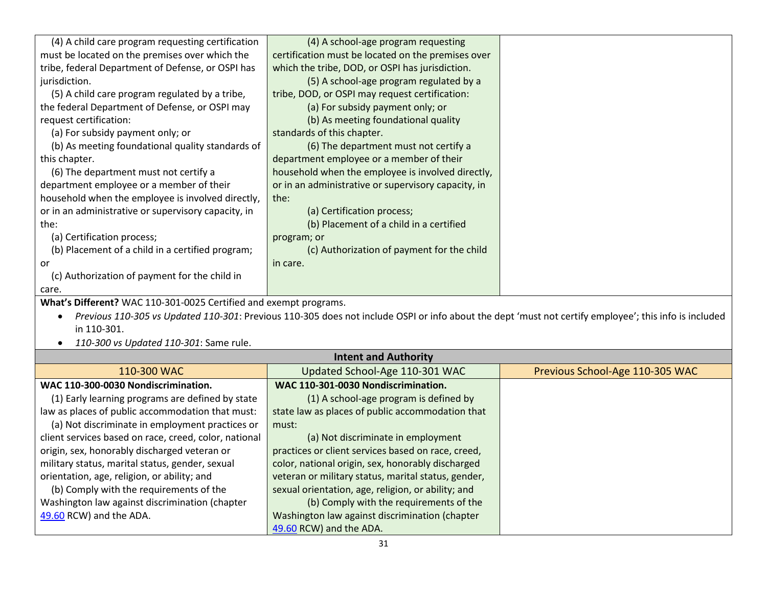| (4) A child care program requesting certification                 | (4) A school-age program requesting                                                                                                                   |                                 |
|-------------------------------------------------------------------|-------------------------------------------------------------------------------------------------------------------------------------------------------|---------------------------------|
| must be located on the premises over which the                    | certification must be located on the premises over                                                                                                    |                                 |
| tribe, federal Department of Defense, or OSPI has                 | which the tribe, DOD, or OSPI has jurisdiction.                                                                                                       |                                 |
| jurisdiction.                                                     | (5) A school-age program regulated by a                                                                                                               |                                 |
| (5) A child care program regulated by a tribe,                    | tribe, DOD, or OSPI may request certification:                                                                                                        |                                 |
| the federal Department of Defense, or OSPI may                    | (a) For subsidy payment only; or                                                                                                                      |                                 |
| request certification:                                            | (b) As meeting foundational quality                                                                                                                   |                                 |
| (a) For subsidy payment only; or                                  | standards of this chapter.                                                                                                                            |                                 |
| (b) As meeting foundational quality standards of                  | (6) The department must not certify a                                                                                                                 |                                 |
| this chapter.                                                     | department employee or a member of their                                                                                                              |                                 |
| (6) The department must not certify a                             | household when the employee is involved directly,                                                                                                     |                                 |
| department employee or a member of their                          | or in an administrative or supervisory capacity, in                                                                                                   |                                 |
| household when the employee is involved directly,                 | the:                                                                                                                                                  |                                 |
| or in an administrative or supervisory capacity, in               | (a) Certification process;                                                                                                                            |                                 |
| the:                                                              | (b) Placement of a child in a certified                                                                                                               |                                 |
| (a) Certification process;                                        | program; or                                                                                                                                           |                                 |
| (b) Placement of a child in a certified program;                  | (c) Authorization of payment for the child                                                                                                            |                                 |
| or                                                                | in care.                                                                                                                                              |                                 |
| (c) Authorization of payment for the child in                     |                                                                                                                                                       |                                 |
| care.                                                             |                                                                                                                                                       |                                 |
| What's Different? WAC 110-301-0025 Certified and exempt programs. |                                                                                                                                                       |                                 |
|                                                                   | Previous 110-305 vs Updated 110-301: Previous 110-305 does not include OSPI or info about the dept 'must not certify employee'; this info is included |                                 |
| in 110-301.                                                       |                                                                                                                                                       |                                 |
| 110-300 vs Updated 110-301: Same rule.                            |                                                                                                                                                       |                                 |
|                                                                   | <b>Intent and Authority</b>                                                                                                                           |                                 |
| 110-300 WAC                                                       | Updated School-Age 110-301 WAC                                                                                                                        | Previous School-Age 110-305 WAC |
| WAC 110-300-0030 Nondiscrimination.                               | WAC 110-301-0030 Nondiscrimination.                                                                                                                   |                                 |
| (1) Early learning programs are defined by state                  | (1) A school-age program is defined by                                                                                                                |                                 |
| law as places of public accommodation that must:                  | state law as places of public accommodation that                                                                                                      |                                 |
| (a) Not discriminate in employment practices or                   | must:                                                                                                                                                 |                                 |
| client services based on race, creed, color, national             | (a) Not discriminate in employment                                                                                                                    |                                 |
| origin, sex, honorably discharged veteran or                      | practices or client services based on race, creed,                                                                                                    |                                 |

(b) Comply with the requirements of the

color, national origin, sex, honorably discharged veteran or military status, marital status, gender, sexual orientation, age, religion, or ability; and

Washington law against discrimination (chapter

[49.60](http://app.leg.wa.gov/RCW/default.aspx?cite=49.60) RCW) and the ADA.

military status, marital status, gender, sexual orientation, age, religion, or ability; and (b) Comply with the requirements of the Washington law against discrimination (chapter

[49.60](http://app.leg.wa.gov/RCW/default.aspx?cite=49.60) RCW) and the ADA.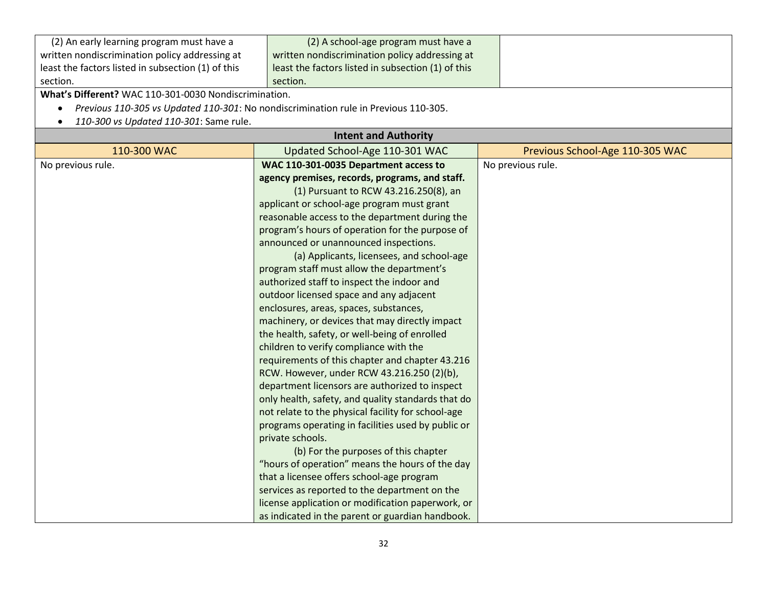| (2) An early learning program must have a                                                        | (2) A school-age program must have a               |                                 |
|--------------------------------------------------------------------------------------------------|----------------------------------------------------|---------------------------------|
| written nondiscrimination policy addressing at                                                   | written nondiscrimination policy addressing at     |                                 |
| least the factors listed in subsection (1) of this                                               | least the factors listed in subsection (1) of this |                                 |
| section.                                                                                         | section.                                           |                                 |
| What's Different? WAC 110-301-0030 Nondiscrimination.                                            |                                                    |                                 |
| Previous 110-305 vs Updated 110-301: No nondiscrimination rule in Previous 110-305.<br>$\bullet$ |                                                    |                                 |
| 110-300 vs Updated 110-301: Same rule.                                                           |                                                    |                                 |
|                                                                                                  | <b>Intent and Authority</b>                        |                                 |
| 110-300 WAC                                                                                      | Updated School-Age 110-301 WAC                     | Previous School-Age 110-305 WAC |
| No previous rule.                                                                                | WAC 110-301-0035 Department access to              | No previous rule.               |
|                                                                                                  | agency premises, records, programs, and staff.     |                                 |
|                                                                                                  | (1) Pursuant to RCW 43.216.250(8), an              |                                 |
|                                                                                                  | applicant or school-age program must grant         |                                 |
|                                                                                                  | reasonable access to the department during the     |                                 |
|                                                                                                  | program's hours of operation for the purpose of    |                                 |
|                                                                                                  | announced or unannounced inspections.              |                                 |
|                                                                                                  | (a) Applicants, licensees, and school-age          |                                 |
|                                                                                                  | program staff must allow the department's          |                                 |
|                                                                                                  | authorized staff to inspect the indoor and         |                                 |
|                                                                                                  | outdoor licensed space and any adjacent            |                                 |
|                                                                                                  | enclosures, areas, spaces, substances,             |                                 |
|                                                                                                  | machinery, or devices that may directly impact     |                                 |
|                                                                                                  | the health, safety, or well-being of enrolled      |                                 |
|                                                                                                  | children to verify compliance with the             |                                 |
|                                                                                                  | requirements of this chapter and chapter 43.216    |                                 |
|                                                                                                  | RCW. However, under RCW 43.216.250 (2)(b),         |                                 |
|                                                                                                  | department licensors are authorized to inspect     |                                 |
|                                                                                                  | only health, safety, and quality standards that do |                                 |
|                                                                                                  | not relate to the physical facility for school-age |                                 |
|                                                                                                  | programs operating in facilities used by public or |                                 |
|                                                                                                  | private schools.                                   |                                 |
|                                                                                                  | (b) For the purposes of this chapter               |                                 |
|                                                                                                  | "hours of operation" means the hours of the day    |                                 |
|                                                                                                  | that a licensee offers school-age program          |                                 |
|                                                                                                  | services as reported to the department on the      |                                 |
|                                                                                                  | license application or modification paperwork, or  |                                 |
|                                                                                                  | as indicated in the parent or guardian handbook.   |                                 |